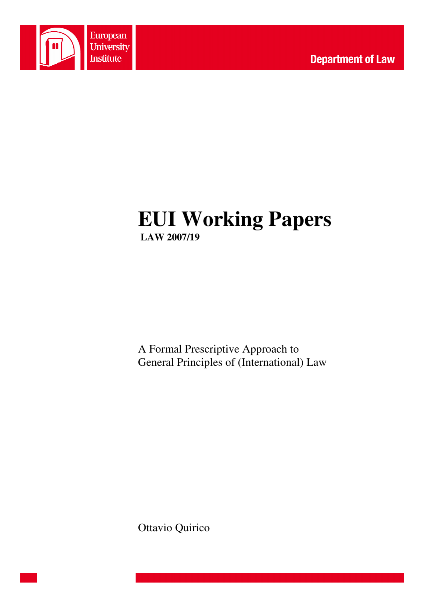

# **EUI Working Papers LAW 2007/19**

A Formal Prescriptive Approach to General Principles of (International) Law

Ottavio Quirico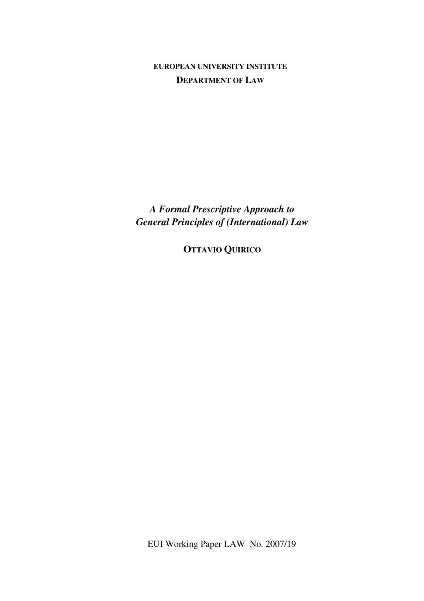**EUROPEAN UNIVERSITY INSTITUTE DEPARTMENT OF LAW**

*A Formal Prescriptive Approach to General Principles of (International) Law* 

**OTTAVIO QUIRICO**

EUI Working Paper LAW No. 2007/19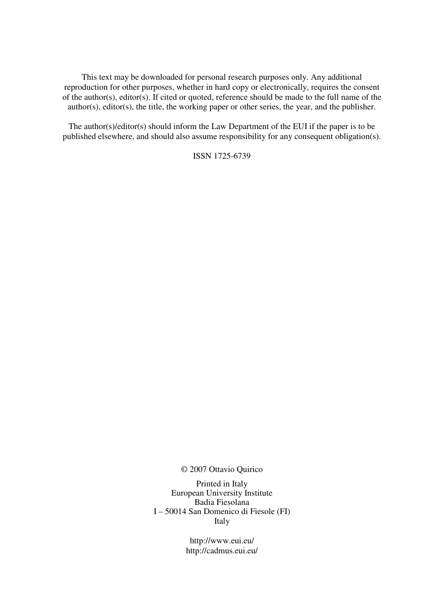This text may be downloaded for personal research purposes only. Any additional reproduction for other purposes, whether in hard copy or electronically, requires the consent of the author(s), editor(s). If cited or quoted, reference should be made to the full name of the author(s), editor(s), the title, the working paper or other series, the year, and the publisher.

The author(s)/editor(s) should inform the Law Department of the EUI if the paper is to be published elsewhere, and should also assume responsibility for any consequent obligation(s).

ISSN 1725-6739

© 2007 Ottavio Quirico

Printed in Italy European University Institute Badia Fiesolana I – 50014 San Domenico di Fiesole (FI) Italy

> http://www.eui.eu/ http://cadmus.eui.eu/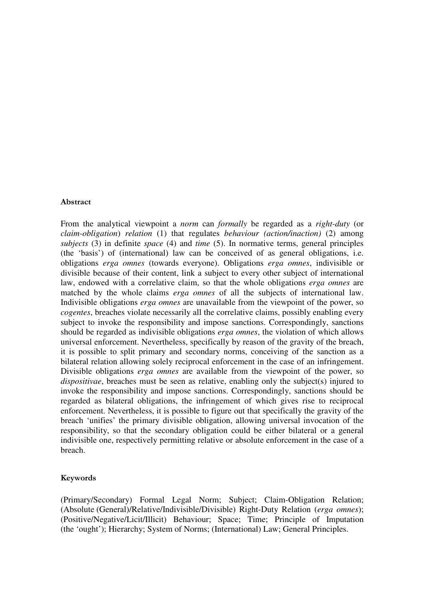#### Abstract

From the analytical viewpoint a *norm* can *formally* be regarded as a *right-duty* (or *claim-obligation*) *relation* (1) that regulates *behaviour (action/inaction)* (2) among *subjects* (3) in definite *space* (4) and *time* (5). In normative terms, general principles (the 'basis') of (international) law can be conceived of as general obligations, i.e. obligations *erga omnes* (towards everyone). Obligations *erga omnes*, indivisible or divisible because of their content, link a subject to every other subject of international law, endowed with a correlative claim, so that the whole obligations *erga omnes* are matched by the whole claims *erga omnes* of all the subjects of international law. Indivisible obligations *erga omnes* are unavailable from the viewpoint of the power, so *cogentes*, breaches violate necessarily all the correlative claims, possibly enabling every subject to invoke the responsibility and impose sanctions. Correspondingly, sanctions should be regarded as indivisible obligations *erga omnes*, the violation of which allows universal enforcement. Nevertheless, specifically by reason of the gravity of the breach, it is possible to split primary and secondary norms, conceiving of the sanction as a bilateral relation allowing solely reciprocal enforcement in the case of an infringement. Divisible obligations *erga omnes* are available from the viewpoint of the power, so *dispositivae*, breaches must be seen as relative, enabling only the subject(s) injured to invoke the responsibility and impose sanctions. Correspondingly, sanctions should be regarded as bilateral obligations, the infringement of which gives rise to reciprocal enforcement. Nevertheless, it is possible to figure out that specifically the gravity of the breach 'unifies' the primary divisible obligation, allowing universal invocation of the responsibility, so that the secondary obligation could be either bilateral or a general indivisible one, respectively permitting relative or absolute enforcement in the case of a breach.

#### Keywords

(Primary/Secondary) Formal Legal Norm; Subject; Claim-Obligation Relation; (Absolute (General)/Relative/Indivisible/Divisible) Right-Duty Relation (*erga omnes*); (Positive/Negative/Licit/Illicit) Behaviour; Space; Time; Principle of Imputation (the 'ought'); Hierarchy; System of Norms; (International) Law; General Principles.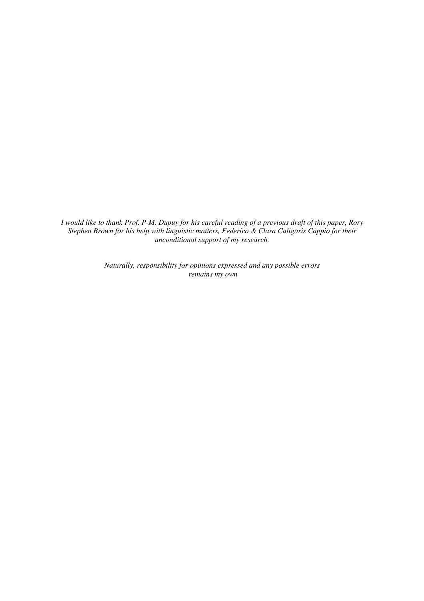*I would like to thank Prof. P-M. Dupuy for his careful reading of a previous draft of this paper, Rory Stephen Brown for his help with linguistic matters, Federico & Clara Caligaris Cappio for their unconditional support of my research.* 

> *Naturally, responsibility for opinions expressed and any possible errors remains my own*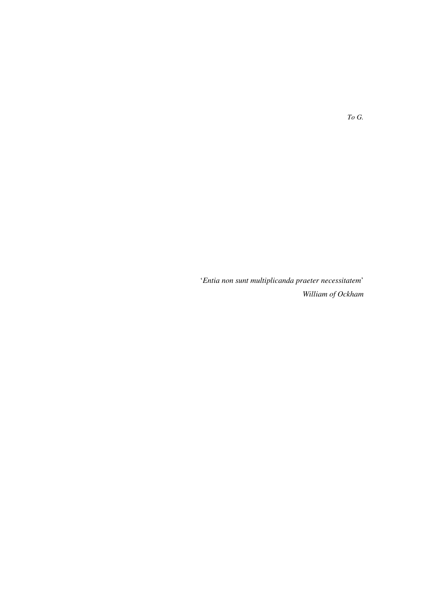'*Entia non sunt multiplicanda praeter necessitatem*' *William of Ockham*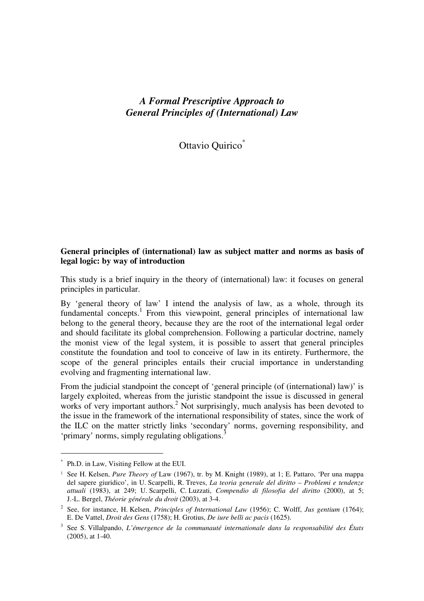## *A Formal Prescriptive Approach to General Principles of (International) Law*

Ottavio Quirico<sup>\*</sup>

## **General principles of (international) law as subject matter and norms as basis of legal logic: by way of introduction**

This study is a brief inquiry in the theory of (international) law: it focuses on general principles in particular.

By 'general theory of law' I intend the analysis of law, as a whole, through its fundamental concepts.<sup>1</sup> From this viewpoint, general principles of international law belong to the general theory, because they are the root of the international legal order and should facilitate its global comprehension. Following a particular doctrine, namely the monist view of the legal system, it is possible to assert that general principles constitute the foundation and tool to conceive of law in its entirety. Furthermore, the scope of the general principles entails their crucial importance in understanding evolving and fragmenting international law.

From the judicial standpoint the concept of 'general principle (of (international) law)' is largely exploited, whereas from the juristic standpoint the issue is discussed in general works of very important authors.<sup>2</sup> Not surprisingly, much analysis has been devoted to the issue in the framework of the international responsibility of states, since the work of the ILC on the matter strictly links 'secondary' norms, governing responsibility, and 'primary' norms, simply regulating obligations.<sup>3</sup>

<sup>\*</sup> Ph.D. in Law, Visiting Fellow at the EUI.

<sup>&</sup>lt;sup>1</sup> See H. Kelsen, *Pure Theory of Law* (1967), tr. by M. Knight (1989), at 1; E. Pattaro, 'Per una mappa del sapere giuridico', in U. Scarpelli, R. Treves, *La teoria generale del diritto – Problemi e tendenze attuali* (1983), at 249; U. Scarpelli, C. Luzzati, *Compendio di filosofia del diritto* (2000), at 5; J.-L. Bergel, *Théorie générale du droit* (2003), at 3-4.

<sup>2</sup> See, for instance, H. Kelsen, *Principles of International Law* (1956); C. Wolff, *Jus gentium* (1764); E. De Vattel, *Droit des Gens* (1758); H. Grotius, *De iure belli ac pacis* (1625).

<sup>3</sup> See S. Villalpando, *L'émergence de la communauté internationale dans la responsabilité des États*  (2005), at 1-40.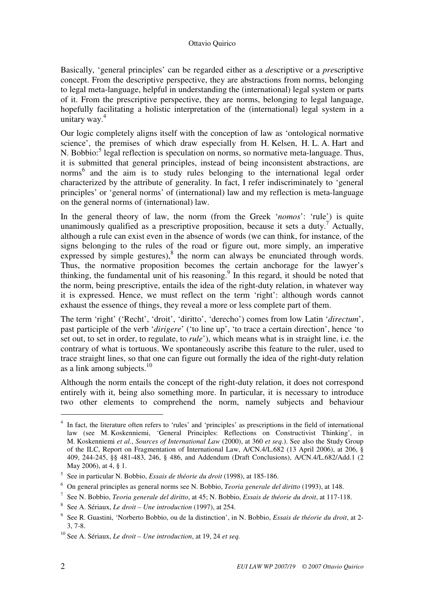Basically, 'general principles' can be regarded either as a *de*scriptive or a *pre*scriptive concept. From the descriptive perspective, they are abstractions from norms, belonging to legal meta-language, helpful in understanding the (international) legal system or parts of it. From the prescriptive perspective, they are norms, belonging to legal language, hopefully facilitating a holistic interpretation of the (international) legal system in a unitary way.<sup>4</sup>

Our logic completely aligns itself with the conception of law as 'ontological normative science', the premises of which draw especially from H. Kelsen, H. L. A. Hart and N. Bobbio:<sup>5</sup> legal reflection is speculation on norms, so normative meta-language. Thus, it is submitted that general principles, instead of being inconsistent abstractions, are norms<sup>6</sup> and the aim is to study rules belonging to the international legal order characterized by the attribute of generality. In fact, I refer indiscriminately to 'general principles' or 'general norms' of (international) law and my reflection is meta-language on the general norms of (international) law.

In the general theory of law, the norm (from the Greek '*nomos*': 'rule') is quite unanimously qualified as a prescriptive proposition, because it sets a duty.<sup>7</sup> Actually, although a rule can exist even in the absence of words (we can think, for instance, of the signs belonging to the rules of the road or figure out, more simply, an imperative expressed by simple gestures), $8$  the norm can always be enunciated through words. Thus, the normative proposition becomes the certain anchorage for the lawyer's thinking, the fundamental unit of his reasoning.<sup>9</sup> In this regard, it should be noted that the norm, being prescriptive, entails the idea of the right-duty relation, in whatever way it is expressed. Hence, we must reflect on the term 'right': although words cannot exhaust the essence of things, they reveal a more or less complete part of them.

The term 'right' ('Recht', 'droit', 'diritto', 'derecho') comes from low Latin '*directum*', past participle of the verb '*dirigere*' ('to line up', 'to trace a certain direction', hence 'to set out, to set in order, to regulate, to *rule*'), which means what is in straight line, i.e. the contrary of what is tortuous. We spontaneously ascribe this feature to the ruler, used to trace straight lines, so that one can figure out formally the idea of the right-duty relation as a link among subjects. $10<sup>10</sup>$ 

Although the norm entails the concept of the right-duty relation, it does not correspond entirely with it, being also something more. In particular, it is necessary to introduce two other elements to comprehend the norm, namely subjects and behaviour

<sup>&</sup>lt;sup>4</sup> In fact, the literature often refers to 'rules' and 'principles' as prescriptions in the field of international law (see M. Koskenniemi, 'General Principles: Reflections on Constructivist Thinking', in M. Koskenniemi *et al.*, *Sources of International Law* (2000), at 360 *et seq.*). See also the Study Group of the ILC, Report on Fragmentation of International Law, A/CN.4/L.682 (13 April 2006), at 206, § 409, 244-245, §§ 481-483, 246, § 486, and Addendum (Draft Conclusions), A/CN.4/L.682/Add.1 (2 May 2006), at 4, § 1.

<sup>5</sup> See in particular N. Bobbio, *Essais de théorie du droit* (1998), at 185-186.

<sup>6</sup> On general principles as general norms see N. Bobbio, *Teoria generale del diritto* (1993), at 148.

<sup>7</sup> See N. Bobbio, *Teoria generale del diritto*, at 45; N. Bobbio, *Essais de théorie du droit*, at 117-118.

<sup>8</sup> See A. Sériaux, *Le droit – Une introduction* (1997), at 254.

<sup>9</sup> See R. Guastini, 'Norberto Bobbio, ou de la distinction', in N. Bobbio, *Essais de théorie du droit*, at 2- 3, 7-8.

<sup>10</sup> See A. Sériaux, *Le droit – Une introduction*, at 19, 24 *et seq.*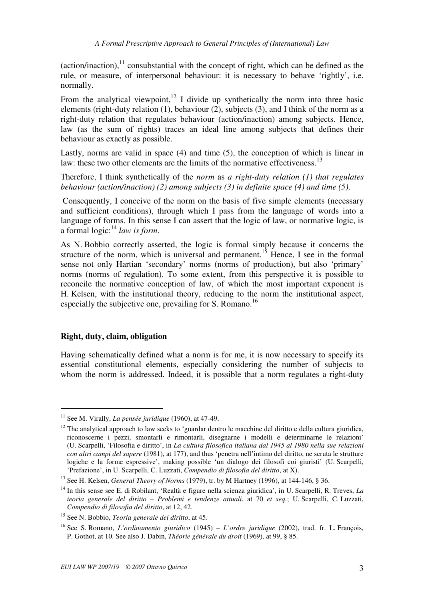(action/inaction),  $11$  consubstantial with the concept of right, which can be defined as the rule, or measure, of interpersonal behaviour: it is necessary to behave 'rightly', i.e. normally.

From the analytical viewpoint, $12$  I divide up synthetically the norm into three basic elements (right-duty relation (1), behaviour (2), subjects (3), and I think of the norm as a right-duty relation that regulates behaviour (action/inaction) among subjects. Hence, law (as the sum of rights) traces an ideal line among subjects that defines their behaviour as exactly as possible.

Lastly, norms are valid in space (4) and time (5), the conception of which is linear in law: these two other elements are the limits of the normative effectiveness.<sup>13</sup>

Therefore, I think synthetically of the *norm* as *a right-duty relation (1) that regulates behaviour (action/inaction) (2) among subjects (3) in definite space (4) and time (5)*.

 Consequently, I conceive of the norm on the basis of five simple elements (necessary and sufficient conditions), through which I pass from the language of words into a language of forms. In this sense I can assert that the logic of law, or normative logic, is a formal logic:<sup>14</sup> *law is form*.

As N. Bobbio correctly asserted, the logic is formal simply because it concerns the structure of the norm, which is universal and permanent.<sup>15</sup> Hence, I see in the formal sense not only Hartian 'secondary' norms (norms of production), but also 'primary' norms (norms of regulation). To some extent, from this perspective it is possible to reconcile the normative conception of law, of which the most important exponent is H. Kelsen, with the institutional theory, reducing to the norm the institutional aspect, especially the subjective one, prevailing for S. Romano.<sup>16</sup>

## **Right, duty, claim, obligation**

 $\overline{a}$ 

Having schematically defined what a norm is for me, it is now necessary to specify its essential constitutional elements, especially considering the number of subjects to whom the norm is addressed. Indeed, it is possible that a norm regulates a right-duty

<sup>&</sup>lt;sup>11</sup> See M. Virally, *La pensée juridique* (1960), at 47-49.

 $12$  The analytical approach to law seeks to 'guardar dentro le macchine del diritto e della cultura giuridica, riconoscerne i pezzi, smontarli e rimontarli, disegnarne i modelli e determinarne le relazioni' (U. Scarpelli, 'Filosofia e diritto', in *La cultura filosofica italiana dal 1945 al 1980 nella sue relazioni con altri campi del sapere* (1981), at 177), and thus 'penetra nell'intimo del diritto, ne scruta le strutture logiche e la forme espressive', making possible 'un dialogo dei filosofi coi giuristi' (U. Scarpelli, 'Prefazione', in U. Scarpelli, C. Luzzati, *Compendio di filosofia del diritto*, at X).

<sup>13</sup> See H. Kelsen, *General Theory of Norms* (1979), tr. by M Hartney (1996), at 144-146, § 36.

<sup>14</sup> In this sense see E. di Robilant, 'Realtà e figure nella scienza giuridica', in U. Scarpelli, R. Treves, *La teoria generale del diritto – Problemi e tendenze attuali*, at 70 *et seq.*; U. Scarpelli, C. Luzzati, *Compendio di filosofia del diritto*, at 12, 42.

<sup>15</sup> See N. Bobbio, *Teoria generale del diritto*, at 45.

<sup>16</sup> See S. Romano, *L'ordinamento giuridico* (1945) – *L'ordre juridique* (2002), trad. fr. L. François, P. Gothot, at 10. See also J. Dabin, *Théorie générale du droit* (1969), at 99, § 85.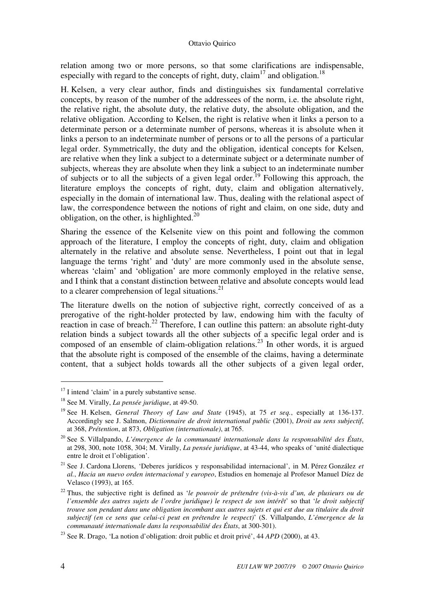relation among two or more persons, so that some clarifications are indispensable, especially with regard to the concepts of right, duty, claim<sup>17</sup> and obligation.<sup>18</sup>

H. Kelsen, a very clear author, finds and distinguishes six fundamental correlative concepts, by reason of the number of the addressees of the norm, i.e. the absolute right, the relative right, the absolute duty, the relative duty, the absolute obligation, and the relative obligation. According to Kelsen, the right is relative when it links a person to a determinate person or a determinate number of persons, whereas it is absolute when it links a person to an indeterminate number of persons or to all the persons of a particular legal order. Symmetrically, the duty and the obligation, identical concepts for Kelsen, are relative when they link a subject to a determinate subject or a determinate number of subjects, whereas they are absolute when they link a subject to an indeterminate number of subjects or to all the subjects of a given legal order.<sup>19</sup> Following this approach, the literature employs the concepts of right, duty, claim and obligation alternatively, especially in the domain of international law. Thus, dealing with the relational aspect of law, the correspondence between the notions of right and claim, on one side, duty and obligation, on the other, is highlighted. $^{20}$ 

Sharing the essence of the Kelsenite view on this point and following the common approach of the literature, I employ the concepts of right, duty, claim and obligation alternately in the relative and absolute sense. Nevertheless, I point out that in legal language the terms 'right' and 'duty' are more commonly used in the absolute sense, whereas 'claim' and 'obligation' are more commonly employed in the relative sense, and I think that a constant distinction between relative and absolute concepts would lead to a clearer comprehension of legal situations. $^{21}$ 

The literature dwells on the notion of subjective right, correctly conceived of as a prerogative of the right-holder protected by law, endowing him with the faculty of reaction in case of breach.<sup>22</sup> Therefore, I can outline this pattern: an absolute right-duty relation binds a subject towards all the other subjects of a specific legal order and is composed of an ensemble of claim-obligation relations.<sup>23</sup> In other words, it is argued that the absolute right is composed of the ensemble of the claims, having a determinate content, that a subject holds towards all the other subjects of a given legal order,

 $17$  I intend 'claim' in a purely substantive sense.

<sup>18</sup> See M. Virally, *La pensée juridique*, at 49-50.

<sup>19</sup> See H. Kelsen, *General Theory of Law and State* (1945), at 75 *et seq.*, especially at 136-137. Accordingly see J. Salmon, *Dictionnaire de droit international public* (2001), *Droit au sens subjectif*, at 368, *Prétention*, at 873, *Obligation (internationale)*, at 765.

<sup>20</sup> See S. Villalpando, *L'émergence de la communauté internationale dans la responsabilité des États*, at 298, 300, note 1058, 304; M. Virally, *La pensée juridique*, at 43-44, who speaks of 'unité dialectique entre le droit et l'obligation'.

<sup>21</sup> See J. Cardona Llorens, 'Deberes jurídicos y responsabilidad internacional', in M. Pérez González *et al.*, *Hacia un nuevo orden internacional y europeo*, Estudios en homenaje al Profesor Manuel Díez de Velasco (1993), at 165.

<sup>22</sup> Thus, the subjective right is defined as '*le pouvoir de prétendre (vis-à-vis d'un, de plusieurs ou de l'ensemble des autres sujets de l'ordre juridique) le respect de son intérêt*' so that '*le droit subjectif trouve son pendant dans une obligation incombant aux autres sujets et qui est due au titulaire du droit subjectif (en ce sens que celui-ci peut en prétendre le respect)*' (S. Villalpando, *L'émergence de la communauté internationale dans la responsabilité des États*, at 300-301).

<sup>23</sup> See R. Drago, 'La notion d'obligation: droit public et droit privé', 44 *APD* (2000), at 43.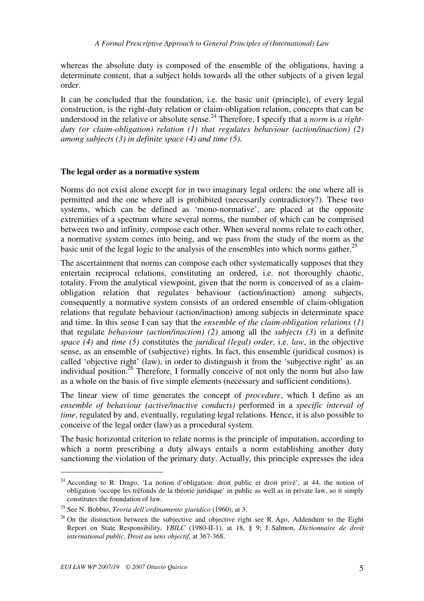whereas the absolute duty is composed of the ensemble of the obligations, having a determinate content, that a subject holds towards all the other subjects of a given legal order.

It can be concluded that the foundation, i.e. the basic unit (principle), of every legal construction, is the right-duty relation or claim-obligation relation, concepts that can be understood in the relative or absolute sense.<sup>24</sup> Therefore, I specify that a *norm* is *a rightduty (or claim-obligation) relation (1) that regulates behaviour (action/inaction) (2) among subjects (3) in definite space (4) and time (5)*.

## **The legal order as a normative system**

Norms do not exist alone except for in two imaginary legal orders: the one where all is permitted and the one where all is prohibited (necessarily contradictory?). These two systems, which can be defined as 'mono-normative', are placed at the opposite extremities of a spectrum where several norms, the number of which can be comprised between two and infinity, compose each other. When several norms relate to each other, a normative system comes into being, and we pass from the study of the norm as the basic unit of the legal logic to the analysis of the ensembles into which norms gather. 25

The ascertainment that norms can compose each other systematically supposes that they entertain reciprocal relations, constituting an ordered, i.e. not thoroughly chaotic, totality. From the analytical viewpoint, given that the norm is conceived of as a claimobligation relation that regulates behaviour (action/inaction) among subjects, consequently a normative system consists of an ordered ensemble of claim-obligation relations that regulate behaviour (action/inaction) among subjects in determinate space and time. In this sense I can say that the *ensemble of the claim-obligation relations (1)* that regulate *behaviour (action/inaction) (2)* among all the *subjects (3)* in a definite *space (4)* and *time (5)* constitutes the *juridical (legal) order*, i.e. *law*, in the objective sense, as an ensemble of (subjective) rights. In fact, this ensemble (juridical cosmos) is called 'objective right' (law), in order to distinguish it from the 'subjective right' as an individual position.<sup>26</sup> Therefore, I formally conceive of not only the norm but also law as a whole on the basis of five simple elements (necessary and sufficient conditions).

The linear view of time generates the concept of *procedure*, which I define as an *ensemble of behaviour (active/inactive conducts)* performed in a *specific interval of time*, regulated by and, eventually, regulating legal relations. Hence, it is also possible to conceive of the legal order (law) as a procedural system.

The basic horizontal criterion to relate norms is the principle of imputation, according to which a norm prescribing a duty always entails a norm establishing another duty sanctioning the violation of the primary duty. Actually, this principle expresses the idea

<sup>&</sup>lt;sup>24</sup> According to R. Drago, 'La notion d'obligation: droit public et droit privé', at 44, the notion of obligation 'occupe les tréfonds de la théorie juridique' in public as well as in private law, so it simply constitutes the foundation of law.

<sup>25</sup> See N. Bobbio, *Teoria dell'ordinamento giuridico* (1960), at 3.

 $26$  On the distinction between the subjective and objective right see R. Ago, Addendum to the Eight Report on State Responsibility, *YBILC* (1980-II-1), at 18, § 9; J. Salmon, *Dictionnaire de droit international public*, *Droit au sens objectif*, at 367-368.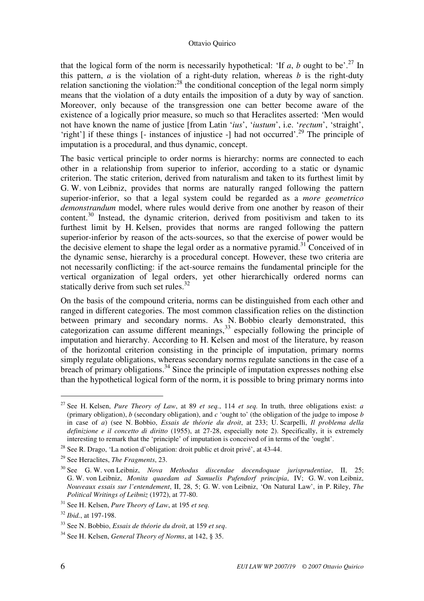that the logical form of the norm is necessarily hypothetical: 'If  $a$ ,  $b$  ought to be'.<sup>27</sup> In this pattern,  $a$  is the violation of a right-duty relation, whereas  $b$  is the right-duty relation sanctioning the violation: $^{28}$  the conditional conception of the legal norm simply means that the violation of a duty entails the imposition of a duty by way of sanction. Moreover, only because of the transgression one can better become aware of the existence of a logically prior measure, so much so that Heraclites asserted: 'Men would not have known the name of justice [from Latin '*ius*', '*iustum*', i.e. '*rectum*', 'straight', 'right'] if these things [- instances of injustice -] had not occurred'.<sup>29</sup> The principle of imputation is a procedural, and thus dynamic, concept.

The basic vertical principle to order norms is hierarchy: norms are connected to each other in a relationship from superior to inferior, according to a static or dynamic criterion. The static criterion, derived from naturalism and taken to its furthest limit by G. W. von Leibniz, provides that norms are naturally ranged following the pattern superior-inferior, so that a legal system could be regarded as a *more geometrico demonstrandum* model, where rules would derive from one another by reason of their content.<sup>30</sup> Instead, the dynamic criterion, derived from positivism and taken to its furthest limit by H. Kelsen, provides that norms are ranged following the pattern superior-inferior by reason of the acts-sources, so that the exercise of power would be the decisive element to shape the legal order as a normative pyramid.<sup>31</sup> Conceived of in the dynamic sense, hierarchy is a procedural concept. However, these two criteria are not necessarily conflicting: if the act-source remains the fundamental principle for the vertical organization of legal orders, yet other hierarchically ordered norms can statically derive from such set rules.<sup>32</sup>

On the basis of the compound criteria, norms can be distinguished from each other and ranged in different categories. The most common classification relies on the distinction between primary and secondary norms. As N. Bobbio clearly demonstrated, this categorization can assume different meanings,  $33$  especially following the principle of imputation and hierarchy. According to H. Kelsen and most of the literature, by reason of the horizontal criterion consisting in the principle of imputation, primary norms simply regulate obligations, whereas secondary norms regulate sanctions in the case of a breach of primary obligations.<sup>34</sup> Since the principle of imputation expresses nothing else than the hypothetical logical form of the norm, it is possible to bring primary norms into

<sup>27</sup> See H. Kelsen, *Pure Theory of Law*, at 89 *et seq.*, 114 *et seq.* In truth, three obligations exist: *a* (primary obligation), *b* (secondary obligation), and *c* 'ought to' (the obligation of the judge to impose *b* in case of *a*) (see N. Bobbio, *Essais de théorie du droit*, at 233; U. Scarpelli, *Il problema della definizione e il concetto di diritto* (1955), at 27-28, especially note 2). Specifically, it is extremely interesting to remark that the 'principle' of imputation is conceived of in terms of the 'ought'.

<sup>28</sup> See R. Drago, 'La notion d'obligation: droit public et droit privé', at 43-44.

<sup>29</sup> See Heraclites, *The Fragments*, 23.

<sup>30</sup> See G. W. von Leibniz, *Nova Methodus discendae docendoquae jurisprudentiae*, II, 25; G. W. von Leibniz, *Monita quaedam ad Samuelis Pufendorf principia*, IV; G. W. von Leibniz, *Nouveaux essais sur l'entendement*, II, 28, 5; G. W. von Leibniz, 'On Natural Law', in P. Riley, *The Political Writings of Leibniz* (1972), at 77-80.

<sup>31</sup> See H. Kelsen, *Pure Theory of Law*, at 195 *et seq.*

<sup>32</sup> *Ibid.*, at 197-198.

<sup>33</sup> See N. Bobbio, *Essais de théorie du droit*, at 159 *et seq*.

<sup>34</sup> See H. Kelsen, *General Theory of Norms*, at 142, § 35.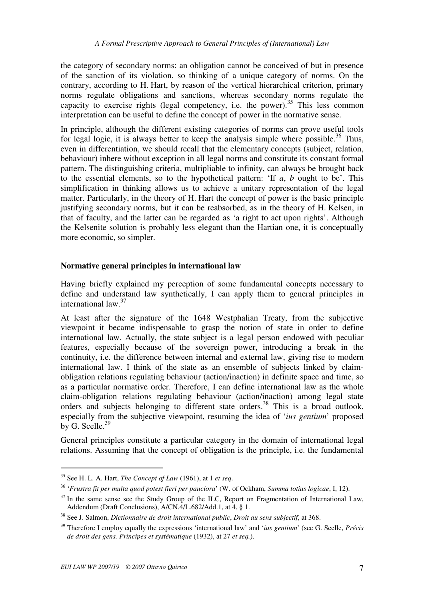the category of secondary norms: an obligation cannot be conceived of but in presence of the sanction of its violation, so thinking of a unique category of norms. On the contrary, according to H. Hart, by reason of the vertical hierarchical criterion, primary norms regulate obligations and sanctions, whereas secondary norms regulate the capacity to exercise rights (legal competency, i.e. the power).<sup>35</sup> This less common interpretation can be useful to define the concept of power in the normative sense.

In principle, although the different existing categories of norms can prove useful tools for legal logic, it is always better to keep the analysis simple where possible.<sup>36</sup> Thus, even in differentiation, we should recall that the elementary concepts (subject, relation, behaviour) inhere without exception in all legal norms and constitute its constant formal pattern. The distinguishing criteria, multipliable to infinity, can always be brought back to the essential elements, so to the hypothetical pattern: 'If *a*, *b* ought to be'. This simplification in thinking allows us to achieve a unitary representation of the legal matter. Particularly, in the theory of H. Hart the concept of power is the basic principle justifying secondary norms, but it can be reabsorbed, as in the theory of H. Kelsen, in that of faculty, and the latter can be regarded as 'a right to act upon rights'. Although the Kelsenite solution is probably less elegant than the Hartian one, it is conceptually more economic, so simpler.

## **Normative general principles in international law**

Having briefly explained my perception of some fundamental concepts necessary to define and understand law synthetically, I can apply them to general principles in international law.<sup>37</sup>

At least after the signature of the 1648 Westphalian Treaty, from the subjective viewpoint it became indispensable to grasp the notion of state in order to define international law. Actually, the state subject is a legal person endowed with peculiar features, especially because of the sovereign power, introducing a break in the continuity, i.e. the difference between internal and external law, giving rise to modern international law. I think of the state as an ensemble of subjects linked by claimobligation relations regulating behaviour (action/inaction) in definite space and time, so as a particular normative order. Therefore, I can define international law as the whole claim-obligation relations regulating behaviour (action/inaction) among legal state orders and subjects belonging to different state orders.<sup>38</sup> This is a broad outlook, especially from the subjective viewpoint, resuming the idea of '*ius gentium*' proposed by G. Scelle. $39$ 

General principles constitute a particular category in the domain of international legal relations. Assuming that the concept of obligation is the principle, i.e. the fundamental

<sup>35</sup> See H. L. A. Hart, *The Concept of Law* (1961), at 1 *et seq*.

<sup>36</sup> *'Frustra fit per multa quod potest fieri per pauciora*' (W. of Ockham, *Summa totius logicae*, I, 12).

 $37$  In the same sense see the Study Group of the ILC, Report on Fragmentation of International Law, Addendum (Draft Conclusions), A/CN.4/L.682/Add.1, at 4, § 1.

<sup>38</sup> See J. Salmon, *Dictionnaire de droit international public*, *Droit au sens subjectif*, at 368.

<sup>39</sup> Therefore I employ equally the expressions 'international law' and '*ius gentium*' (see G. Scelle, *Précis de droit des gens. Principes et systématique* (1932), at 27 *et seq.*).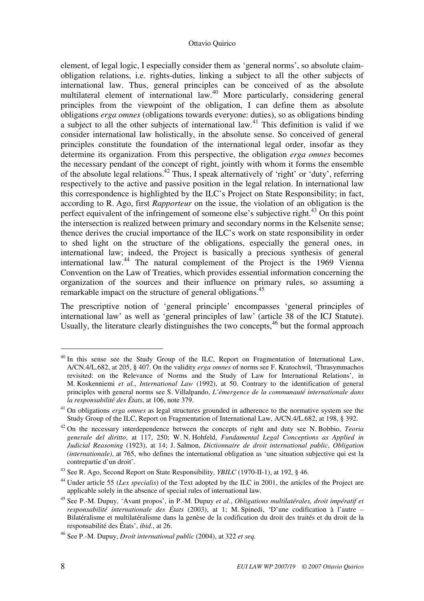element, of legal logic, I especially consider them as 'general norms', so absolute claimobligation relations, i.e. rights-duties, linking a subject to all the other subjects of international law. Thus, general principles can be conceived of as the absolute multilateral element of international law.<sup>40</sup> More particularly, considering general principles from the viewpoint of the obligation, I can define them as absolute obligations *erga omnes* (obligations towards everyone: duties), so as obligations binding a subject to all the other subjects of international law.<sup>41</sup> This definition is valid if we consider international law holistically, in the absolute sense. So conceived of general principles constitute the foundation of the international legal order, insofar as they determine its organization. From this perspective, the obligation *erga omnes* becomes the necessary pendant of the concept of right, jointly with whom it forms the ensemble of the absolute legal relations.<sup>42</sup> Thus, I speak alternatively of 'right' or 'duty', referring respectively to the active and passive position in the legal relation. In international law this correspondence is highlighted by the ILC's Project on State Responsibility; in fact, according to R. Ago, first *Rapporteur* on the issue, the violation of an obligation is the perfect equivalent of the infringement of someone else's subjective right.<sup>43</sup> On this point the intersection is realized between primary and secondary norms in the Kelsenite sense; thence derives the crucial importance of the ILC's work on state responsibility in order to shed light on the structure of the obligations, especially the general ones, in international law; indeed, the Project is basically a precious synthesis of general international law.<sup>44</sup> The natural complement of the Project is the 1969 Vienna Convention on the Law of Treaties, which provides essential information concerning the organization of the sources and their influence on primary rules, so assuming a remarkable impact on the structure of general obligations.<sup>45</sup>

The prescriptive notion of 'general principle' encompasses 'general principles of international law' as well as 'general principles of law' (article 38 of the ICJ Statute). Usually, the literature clearly distinguishes the two concepts,<sup>46</sup> but the formal approach

<sup>&</sup>lt;sup>40</sup> In this sense see the Study Group of the ILC, Report on Fragmentation of International Law, A/CN.4/L.682, at 205, § 407. On the validity *erga omnes* of norms see F. Kratochwil, 'Thrasymmachos revisited: on the Relevance of Norms and the Study of Law for International Relations', in M. Koskenniemi *et al.*, *International Law* (1992), at 50. Contrary to the identification of general principles with general norms see S. Villalpando, *L'émergence de la communauté internationale dans la responsabilité des États*, at 106, note 379.

<sup>41</sup> On obligations *erga omnes* as legal structures grounded in adherence to the normative system see the Study Group of the ILC, Report on Fragmentation of International Law, A/CN.4/L.682, at 198, § 392.

<sup>42</sup> On the necessary interdependence between the concepts of right and duty see N. Bobbio, *Teoria generale del diritto*, at 117, 250; W. N. Hohfeld, *Fundamental Legal Conceptions as Applied in Judicial Reasoning* (1923), at 14; J. Salmon, *Dictionnaire de droit international public*, *Obligation (internationale)*, at 765, who defines the international obligation as 'une situation subjective qui est la contrepartie d'un droit'.

<sup>43</sup> See R. Ago, Second Report on State Responsibility, *YBILC* (1970-II-1), at 192, § 46.

<sup>44</sup> Under article 55 (*Lex specialis*) of the Text adopted by the ILC in 2001, the articles of the Project are applicable solely in the absence of special rules of international law.

<sup>45</sup> See P.-M. Dupuy, 'Avant propos', in P.-M. Dupuy *et al.*, *Obligations multilatérales, droit impératif et responsabilité internationale des États* (2003), at 1; M. Spinedi, 'D'une codification à l'autre – Bilatéralisme et multilatéralisme dans la genèse de la codification du droit des traités et du droit de la responsabilité des États', *ibid.*, at 26.

<sup>46</sup> See P.-M. Dupuy, *Droit international public* (2004), at 322 *et seq.*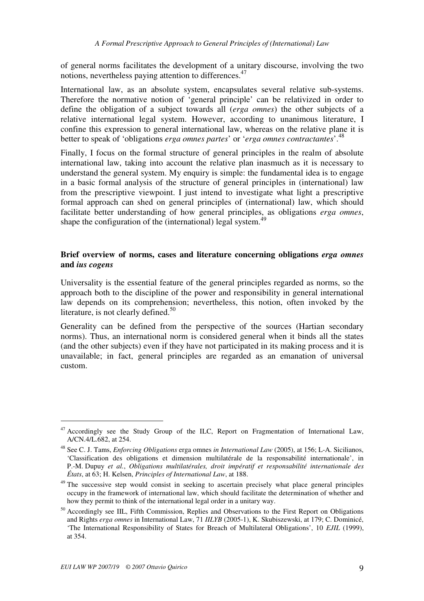of general norms facilitates the development of a unitary discourse, involving the two notions, nevertheless paying attention to differences.<sup>47</sup>

International law, as an absolute system, encapsulates several relative sub-systems. Therefore the normative notion of 'general principle' can be relativized in order to define the obligation of a subject towards all (*erga omnes*) the other subjects of a relative international legal system. However, according to unanimous literature, I confine this expression to general international law, whereas on the relative plane it is better to speak of 'obligations *erga omnes partes*' or '*erga omnes contractantes*'.<sup>48</sup>

Finally, I focus on the formal structure of general principles in the realm of absolute international law, taking into account the relative plan inasmuch as it is necessary to understand the general system. My enquiry is simple: the fundamental idea is to engage in a basic formal analysis of the structure of general principles in (international) law from the prescriptive viewpoint. I just intend to investigate what light a prescriptive formal approach can shed on general principles of (international) law, which should facilitate better understanding of how general principles, as obligations *erga omnes*, shape the configuration of the (international) legal system.<sup>49</sup>

## **Brief overview of norms, cases and literature concerning obligations** *erga omnes* **and** *ius cogens*

Universality is the essential feature of the general principles regarded as norms, so the approach both to the discipline of the power and responsibility in general international law depends on its comprehension; nevertheless, this notion, often invoked by the literature, is not clearly defined. $50$ 

Generality can be defined from the perspective of the sources (Hartian secondary norms). Thus, an international norm is considered general when it binds all the states (and the other subjects) even if they have not participated in its making process and it is unavailable; in fact, general principles are regarded as an emanation of universal custom.

<sup>&</sup>lt;sup>47</sup> Accordingly see the Study Group of the ILC, Report on Fragmentation of International Law, A/CN.4/L.682, at 254.

<sup>48</sup> See C. J. Tams, *Enforcing Obligations* erga omnes *in International Law* (2005), at 156; L-A. Sicilianos, 'Classification des obligations et dimension multilatérale de la responsabilité internationale', in P.-M. Dupuy *et al.*, *Obligations multilatérales, droit impératif et responsabilité internationale des États*, at 63; H. Kelsen, *Principles of International Law*, at 188.

<sup>&</sup>lt;sup>49</sup> The successive step would consist in seeking to ascertain precisely what place general principles occupy in the framework of international law, which should facilitate the determination of whether and how they permit to think of the international legal order in a unitary way.

<sup>&</sup>lt;sup>50</sup> Accordingly see IIL. Fifth Commission, Replies and Observations to the First Report on Obligations and Rights *erga omnes* in International Law, 71 *IILYB* (2005-1), K. Skubiszewski, at 179; C. Dominicé, 'The International Responsibility of States for Breach of Multilateral Obligations', 10 *EJIL* (1999), at 354.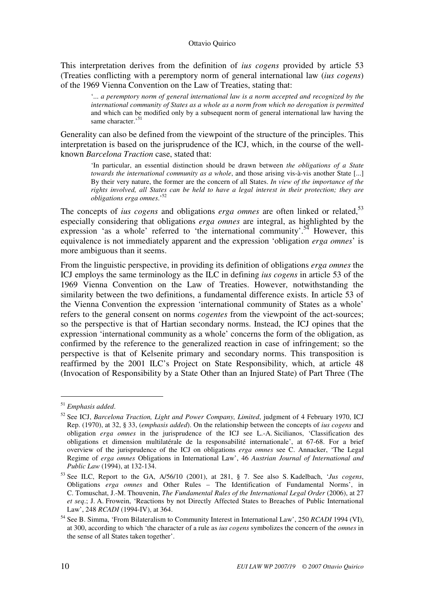This interpretation derives from the definition of *ius cogens* provided by article 53 (Treaties conflicting with a peremptory norm of general international law (*ius cogens*) of the 1969 Vienna Convention on the Law of Treaties, stating that:

'... *a peremptory norm of general international law is a norm accepted and recognized by the international community of States as a whole as a norm from which no derogation is permitted* and which can be modified only by a subsequent norm of general international law having the same character.'<sup>51</sup>

Generality can also be defined from the viewpoint of the structure of the principles. This interpretation is based on the jurisprudence of the ICJ, which, in the course of the wellknown *Barcelona Traction* case, stated that:

'In particular, an essential distinction should be drawn between *the obligations of a State towards the international community as a whole*, and those arising vis-à-vis another State [...] By their very nature, the former are the concern of all States. *In view of the importance of the rights involved, all States can be held to have a legal interest in their protection; they are obligations erga omnes*.'<sup>52</sup>

The concepts of *ius cogens* and obligations *erga omnes* are often linked or related,<sup>53</sup> especially considering that obligations *erga omnes* are integral, as highlighted by the expression 'as a whole' referred to 'the international community'.<sup>54</sup> However, this equivalence is not immediately apparent and the expression 'obligation *erga omnes*' is more ambiguous than it seems.

From the linguistic perspective, in providing its definition of obligations *erga omnes* the ICJ employs the same terminology as the ILC in defining *ius cogens* in article 53 of the 1969 Vienna Convention on the Law of Treaties. However, notwithstanding the similarity between the two definitions, a fundamental difference exists. In article 53 of the Vienna Convention the expression 'international community of States as a whole' refers to the general consent on norms *cogentes* from the viewpoint of the act-sources; so the perspective is that of Hartian secondary norms. Instead, the ICJ opines that the expression 'international community as a whole' concerns the form of the obligation, as confirmed by the reference to the generalized reaction in case of infringement; so the perspective is that of Kelsenite primary and secondary norms. This transposition is reaffirmed by the 2001 ILC's Project on State Responsibility, which, at article 48 (Invocation of Responsibility by a State Other than an Injured State) of Part Three (The

<sup>51</sup> *Emphasis added*.

<sup>52</sup> See ICJ, *Barcelona Traction, Light and Power Company, Limited*, judgment of 4 February 1970, ICJ Rep. (1970), at 32, § 33, (*emphasis added*). On the relationship between the concepts of *ius cogens* and obligation *erga omnes* in the jurisprudence of the ICJ see L.-A. Sicilianos, 'Classification des obligations et dimension multilatérale de la responsabilité internationale', at 67-68. For a brief overview of the jurisprudence of the ICJ on obligations *erga omnes* see C. Annacker, 'The Legal Regime of *erga omnes* Obligations in International Law', 46 *Austrian Journal of International and Public Law* (1994), at 132-134.

<sup>53</sup> See ILC, Report to the GA, A/56/10 (2001), at 281, § 7. See also S. Kadelbach, '*Jus cogens*, Obligations *erga omnes* and Other Rules – The Identification of Fundamental Norms', in C. Tomuschat, J.-M. Thouvenin, *The Fundamental Rules of the International Legal Order* (2006), at 27 *et seq*.; J. A. Frowein, 'Reactions by not Directly Affected States to Breaches of Public International Law', 248 *RCADI* (1994-IV), at 364.

<sup>54</sup> See B. Simma, 'From Bilateralism to Community Interest in International Law', 250 *RCADI* 1994 (VI), at 300, according to which 'the character of a rule as *ius cogens* symbolizes the concern of the *omnes* in the sense of all States taken together'.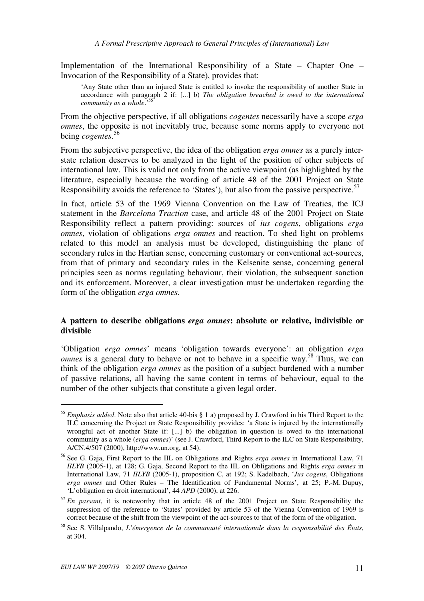Implementation of the International Responsibility of a State – Chapter One – Invocation of the Responsibility of a State), provides that:

'Any State other than an injured State is entitled to invoke the responsibility of another State in accordance with paragraph 2 if: [...] b) *The obligation breached is owed to the international community as a whole*.'<sup>55</sup>

From the objective perspective, if all obligations *cogentes* necessarily have a scope *erga omnes*, the opposite is not inevitably true, because some norms apply to everyone not being *cogentes*. 56

From the subjective perspective, the idea of the obligation *erga omnes* as a purely interstate relation deserves to be analyzed in the light of the position of other subjects of international law. This is valid not only from the active viewpoint (as highlighted by the literature, especially because the wording of article 48 of the 2001 Project on State Responsibility avoids the reference to 'States'), but also from the passive perspective.<sup>57</sup>

In fact, article 53 of the 1969 Vienna Convention on the Law of Treaties, the ICJ statement in the *Barcelona Traction* case, and article 48 of the 2001 Project on State Responsibility reflect a pattern providing: sources of *ius cogens*, obligations *erga omnes*, violation of obligations *erga omnes* and reaction. To shed light on problems related to this model an analysis must be developed, distinguishing the plane of secondary rules in the Hartian sense, concerning customary or conventional act-sources, from that of primary and secondary rules in the Kelsenite sense, concerning general principles seen as norms regulating behaviour, their violation, the subsequent sanction and its enforcement. Moreover, a clear investigation must be undertaken regarding the form of the obligation *erga omnes*.

## **A pattern to describe obligations** *erga omnes***: absolute or relative, indivisible or divisible**

'Obligation *erga omnes*' means 'obligation towards everyone': an obligation *erga omnes* is a general duty to behave or not to behave in a specific way.<sup>58</sup> Thus, we can think of the obligation *erga omnes* as the position of a subject burdened with a number of passive relations, all having the same content in terms of behaviour, equal to the number of the other subjects that constitute a given legal order.

<sup>55</sup> *Emphasis added*. Note also that article 40-bis § 1 a) proposed by J. Crawford in his Third Report to the ILC concerning the Project on State Responsibility provides: 'a State is injured by the internationally wrongful act of another State if: [...] b) the obligation in question is owed to the international community as a whole (*erga omnes*)' (see J. Crawford, Third Report to the ILC on State Responsibility, A/CN.4/507 (2000), http://www.un.org, at 54).

<sup>56</sup> See G. Gaja, First Report to the IIL on Obligations and Rights *erga omnes* in International Law, 71 *IILYB* (2005-1), at 128; G. Gaja, Second Report to the IIL on Obligations and Rights *erga omnes* in International Law, 71 *IILYB* (2005-1), proposition C, at 192; S. Kadelbach, '*Jus cogens*, Obligations *erga omnes* and Other Rules – The Identification of Fundamental Norms', at 25; P.-M. Dupuy, 'L'obligation en droit international', 44 *APD* (2000), at 226.

<sup>57</sup> *En passant*, it is noteworthy that in article 48 of the 2001 Project on State Responsibility the suppression of the reference to 'States' provided by article 53 of the Vienna Convention of 1969 is correct because of the shift from the viewpoint of the act-sources to that of the form of the obligation.

<sup>58</sup> See S. Villalpando, *L'émergence de la communauté internationale dans la responsabilité des États*, at 304.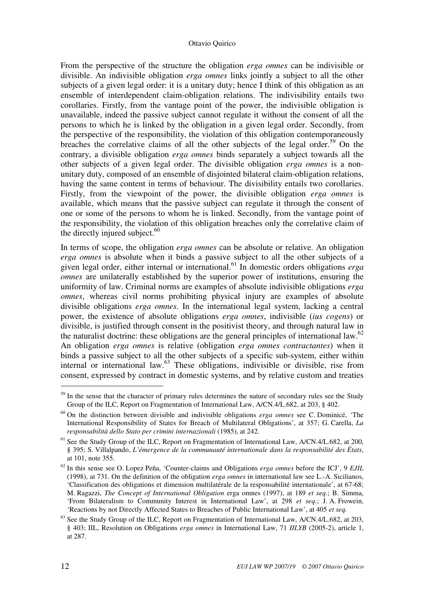From the perspective of the structure the obligation *erga omnes* can be indivisible or divisible. An indivisible obligation *erga omnes* links jointly a subject to all the other subjects of a given legal order: it is a unitary duty; hence I think of this obligation as an ensemble of interdependent claim-obligation relations. The indivisibility entails two corollaries. Firstly, from the vantage point of the power, the indivisible obligation is unavailable, indeed the passive subject cannot regulate it without the consent of all the persons to which he is linked by the obligation in a given legal order. Secondly, from the perspective of the responsibility, the violation of this obligation contemporaneously breaches the correlative claims of all the other subjects of the legal order.<sup>59</sup> On the contrary, a divisible obligation *erga omnes* binds separately a subject towards all the other subjects of a given legal order. The divisible obligation *erga omnes* is a nonunitary duty, composed of an ensemble of disjointed bilateral claim-obligation relations, having the same content in terms of behaviour. The divisibility entails two corollaries. Firstly, from the viewpoint of the power, the divisible obligation *erga omnes* is available, which means that the passive subject can regulate it through the consent of one or some of the persons to whom he is linked. Secondly, from the vantage point of the responsibility, the violation of this obligation breaches only the correlative claim of the directly injured subject. $60$ 

In terms of scope, the obligation *erga omnes* can be absolute or relative. An obligation *erga omnes* is absolute when it binds a passive subject to all the other subjects of a given legal order, either internal or international.<sup>61</sup> In domestic orders obligations *erga omnes* are unilaterally established by the superior power of institutions, ensuring the uniformity of law. Criminal norms are examples of absolute indivisible obligations *erga omnes*, whereas civil norms prohibiting physical injury are examples of absolute divisible obligations *erga omnes*. In the international legal system, lacking a central power, the existence of absolute obligations *erga omnes*, indivisible (*ius cogens*) or divisible, is justified through consent in the positivist theory, and through natural law in the naturalist doctrine: these obligations are the general principles of international law.<sup>62</sup> An obligation *erga omnes* is relative (obligation *erga omnes contractantes*) when it binds a passive subject to all the other subjects of a specific sub-system, either within internal or international law.<sup>63</sup> These obligations, indivisible or divisible, rise from consent, expressed by contract in domestic systems, and by relative custom and treaties

<sup>&</sup>lt;sup>59</sup> In the sense that the character of primary rules determines the nature of secondary rules see the Study Group of the ILC, Report on Fragmentation of International Law, A/CN.4/L.682, at 203, § 402.

<sup>60</sup> On the distinction between divisible and indivisible obligations *erga omnes* see C. Dominicé, 'The International Responsibility of States for Breach of Multilateral Obligations', at 357; G. Carella, *La responsabilità dello Stato per crimini internazionali* (1985), at 242.

<sup>&</sup>lt;sup>61</sup> See the Study Group of the ILC, Report on Fragmentation of International Law, A/CN.4/L.682, at 200, § 395; S. Villalpando, *L'émergence de la communauté internationale dans la responsabilité des États*, at 101, note 355.

<sup>62</sup> In this sense see O. Lopez Peña, 'Counter-claims and Obligations *erga omnes* before the ICJ', 9 *EJIL* (1998), at 731. On the definition of the obligation *erga omnes* in international law see L.-A. Sicilianos, 'Classification des obligations et dimension multilatérale de la responsabilité internationale', at 67-68; M. Ragazzi, *The Concept of International Obligation* erga omnes (1997), at 189 *et seq*.; B. Simma, 'From Bilateralism to Community Interest in International Law', at 298 *et seq.*; J. A. Frowein, 'Reactions by not Directly Affected States to Breaches of Public International Law', at 405 *et seq.*

<sup>&</sup>lt;sup>63</sup> See the Study Group of the ILC, Report on Fragmentation of International Law, A/CN.4/L.682, at 203, § 403; IIL, Resolution on Obligations *erga omnes* in International Law, 71 *IILYB* (2005-2), article 1, at 287.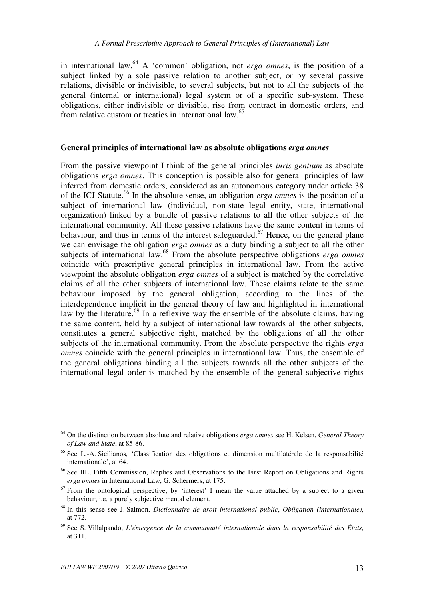in international law.<sup>64</sup> A 'common' obligation, not *erga omnes*, is the position of a subject linked by a sole passive relation to another subject, or by several passive relations, divisible or indivisible, to several subjects, but not to all the subjects of the general (internal or international) legal system or of a specific sub-system. These obligations, either indivisible or divisible, rise from contract in domestic orders, and from relative custom or treaties in international law.<sup>65</sup>

### **General principles of international law as absolute obligations** *erga omnes*

From the passive viewpoint I think of the general principles *iuris gentium* as absolute obligations *erga omnes*. This conception is possible also for general principles of law inferred from domestic orders, considered as an autonomous category under article 38 of the ICJ Statute.<sup>66</sup> In the absolute sense, an obligation *erga omnes* is the position of a subject of international law (individual, non-state legal entity, state, international organization) linked by a bundle of passive relations to all the other subjects of the international community. All these passive relations have the same content in terms of behaviour, and thus in terms of the interest safeguarded.<sup>67</sup> Hence, on the general plane we can envisage the obligation *erga omnes* as a duty binding a subject to all the other subjects of international law.<sup>68</sup> From the absolute perspective obligations *erga omnes* coincide with prescriptive general principles in international law. From the active viewpoint the absolute obligation *erga omnes* of a subject is matched by the correlative claims of all the other subjects of international law. These claims relate to the same behaviour imposed by the general obligation, according to the lines of the interdependence implicit in the general theory of law and highlighted in international law by the literature.<sup>69</sup> In a reflexive way the ensemble of the absolute claims, having the same content, held by a subject of international law towards all the other subjects, constitutes a general subjective right, matched by the obligations of all the other subjects of the international community. From the absolute perspective the rights *erga omnes* coincide with the general principles in international law. Thus, the ensemble of the general obligations binding all the subjects towards all the other subjects of the international legal order is matched by the ensemble of the general subjective rights

<sup>64</sup> On the distinction between absolute and relative obligations *erga omnes* see H. Kelsen, *General Theory of Law and State*, at 85-86.

<sup>65</sup> See L.-A. Sicilianos, 'Classification des obligations et dimension multilatérale de la responsabilité internationale', at 64.

<sup>&</sup>lt;sup>66</sup> See IIL, Fifth Commission, Replies and Observations to the First Report on Obligations and Rights *erga omnes* in International Law, G. Schermers, at 175.

 $67$  From the ontological perspective, by 'interest' I mean the value attached by a subject to a given behaviour, i.e. a purely subjective mental element.

<sup>68</sup> In this sense see J. Salmon, *Dictionnaire de droit international public*, *Obligation (internationale)*, at 772.

<sup>69</sup> See S. Villalpando, *L'émergence de la communauté internationale dans la responsabilité des États*, at 311.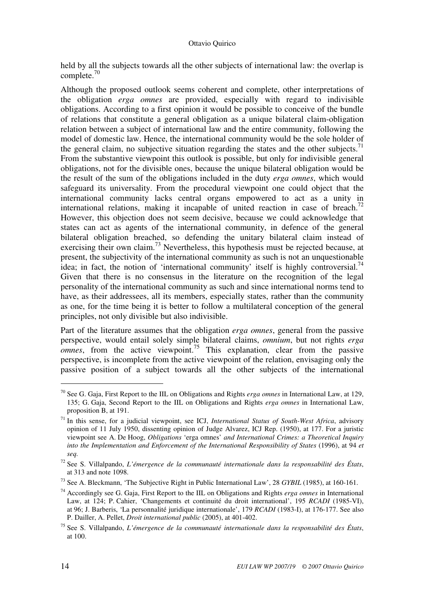held by all the subjects towards all the other subjects of international law: the overlap is complete.<sup>70</sup>

Although the proposed outlook seems coherent and complete, other interpretations of the obligation *erga omnes* are provided, especially with regard to indivisible obligations. According to a first opinion it would be possible to conceive of the bundle of relations that constitute a general obligation as a unique bilateral claim-obligation relation between a subject of international law and the entire community, following the model of domestic law. Hence, the international community would be the sole holder of the general claim, no subjective situation regarding the states and the other subjects.<sup>71</sup> From the substantive viewpoint this outlook is possible, but only for indivisible general obligations, not for the divisible ones, because the unique bilateral obligation would be the result of the sum of the obligations included in the duty *erga omnes*, which would safeguard its universality. From the procedural viewpoint one could object that the international community lacks central organs empowered to act as a unity in international relations, making it incapable of united reaction in case of breach.<sup>72</sup> However, this objection does not seem decisive, because we could acknowledge that states can act as agents of the international community, in defence of the general bilateral obligation breached, so defending the unitary bilateral claim instead of exercising their own claim.<sup>73</sup> Nevertheless, this hypothesis must be rejected because, at present, the subjectivity of the international community as such is not an unquestionable idea; in fact, the notion of 'international community' itself is highly controversial.<sup>74</sup> Given that there is no consensus in the literature on the recognition of the legal personality of the international community as such and since international norms tend to have, as their addressees, all its members, especially states, rather than the community as one, for the time being it is better to follow a multilateral conception of the general principles, not only divisible but also indivisible.

Part of the literature assumes that the obligation *erga omnes*, general from the passive perspective, would entail solely simple bilateral claims, *omnium*, but not rights *erga*   $o$ *mnes*, from the active viewpoint.<sup>75</sup> This explanation, clear from the passive perspective, is incomplete from the active viewpoint of the relation, envisaging only the passive position of a subject towards all the other subjects of the international

<sup>70</sup> See G. Gaja, First Report to the IIL on Obligations and Rights *erga omnes* in International Law, at 129, 135; G. Gaja, Second Report to the IIL on Obligations and Rights *erga omnes* in International Law, proposition B, at 191.

<sup>71</sup> In this sense, for a judicial viewpoint, see ICJ, *International Status of South-West Africa*, advisory opinion of 11 July 1950, dissenting opinion of Judge Alvarez, ICJ Rep. (1950), at 177. For a juristic viewpoint see A. De Hoog, *Obligations* 'erga omnes' *and International Crimes: a Theoretical Inquiry into the Implementation and Enforcement of the International Responsibility of States* (1996), at 94 *et seq.*

<sup>72</sup> See S. Villalpando, *L'émergence de la communauté internationale dans la responsabilité des États*, at 313 and note 1098.

<sup>73</sup> See A. Bleckmann, 'The Subjective Right in Public International Law', 28 *GYBIL* (1985), at 160-161.

<sup>74</sup> Accordingly see G. Gaja, First Report to the IIL on Obligations and Rights *erga omnes* in International Law, at 124; P. Cahier, 'Changements et continuité du droit international', 195 *RCADI* (1985-VI), at 96; J. Barberis, 'La personnalité juridique internationale', 179 *RCADI* (1983-I), at 176-177. See also P. Dailler, A. Pellet, *Droit international public* (2005), at 401-402.

<sup>75</sup> See S. Villalpando, *L'émergence de la communauté internationale dans la responsabilité des États*, at 100.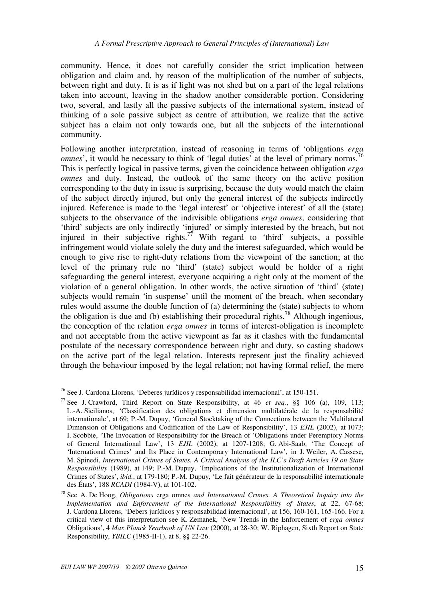community. Hence, it does not carefully consider the strict implication between obligation and claim and, by reason of the multiplication of the number of subjects, between right and duty. It is as if light was not shed but on a part of the legal relations taken into account, leaving in the shadow another considerable portion. Considering two, several, and lastly all the passive subjects of the international system, instead of thinking of a sole passive subject as centre of attribution, we realize that the active subject has a claim not only towards one, but all the subjects of the international community.

Following another interpretation, instead of reasoning in terms of 'obligations *erga omnes*', it would be necessary to think of 'legal duties' at the level of primary norms.<sup>7</sup> This is perfectly logical in passive terms, given the coincidence between obligation *erga omnes* and duty. Instead, the outlook of the same theory on the active position corresponding to the duty in issue is surprising, because the duty would match the claim of the subject directly injured, but only the general interest of the subjects indirectly injured. Reference is made to the 'legal interest' or 'objective interest' of all the (state) subjects to the observance of the indivisible obligations *erga omnes*, considering that 'third' subjects are only indirectly 'injured' or simply interested by the breach, but not injured in their subjective rights.<sup>77</sup> With regard to 'third' subjects, a possible infringement would violate solely the duty and the interest safeguarded, which would be enough to give rise to right-duty relations from the viewpoint of the sanction; at the level of the primary rule no 'third' (state) subject would be holder of a right safeguarding the general interest, everyone acquiring a right only at the moment of the violation of a general obligation. In other words, the active situation of 'third' (state) subjects would remain 'in suspense' until the moment of the breach, when secondary rules would assume the double function of (a) determining the (state) subjects to whom the obligation is due and (b) establishing their procedural rights.<sup>78</sup> Although ingenious, the conception of the relation *erga omnes* in terms of interest-obligation is incomplete and not acceptable from the active viewpoint as far as it clashes with the fundamental postulate of the necessary correspondence between right and duty, so casting shadows on the active part of the legal relation. Interests represent just the finality achieved through the behaviour imposed by the legal relation; not having formal relief, the mere

<sup>76</sup> See J. Cardona Llorens, 'Deberes jurídicos y responsabilidad internacional', at 150-151.

<sup>77</sup> See J. Crawford, Third Report on State Responsibility, at 46 *et seq.*, §§ 106 (a), 109, 113; L.-A. Sicilianos, 'Classification des obligations et dimension multilatérale de la responsabilité internationale', at 69; P.-M. Dupuy, 'General Stocktaking of the Connections between the Multilateral Dimension of Obligations and Codification of the Law of Responsibility', 13 *EJIL* (2002), at 1073; I. Scobbie, 'The Invocation of Responsibility for the Breach of 'Obligations under Peremptory Norms of General International Law', 13 *EJIL* (2002), at 1207-1208; G. Abi-Saab, 'The Concept of 'International Crimes' and Its Place in Contemporary International Law', in J. Weiler, A. Cassese, M. Spinedi, *International Crimes of States. A Critical Analysis of the ILC's Draft Articles 19 on State Responsibility* (1989), at 149; P.-M. Dupuy, 'Implications of the Institutionalization of International Crimes of States', *ibid.*, at 179-180; P.-M. Dupuy, 'Le fait générateur de la responsabilité internationale des États', 188 *RCADI* (1984-V), at 101-102.

<sup>78</sup> See A. De Hoog, *Obligations* erga omnes *and International Crimes. A Theoretical Inquiry into the Implementation and Enforcement of the International Responsibility of States*, at 22, 67-68; J. Cardona Llorens, 'Debers jurídicos y responsabilidad internacional', at 156, 160-161, 165-166. For a critical view of this interpretation see K. Zemanek, 'New Trends in the Enforcement of *erga omnes* Obligations', 4 *Max Planck Yearbook of UN Law* (2000), at 28-30; W. Riphagen, Sixth Report on State Responsibility, *YBILC* (1985-II-1), at 8, §§ 22-26.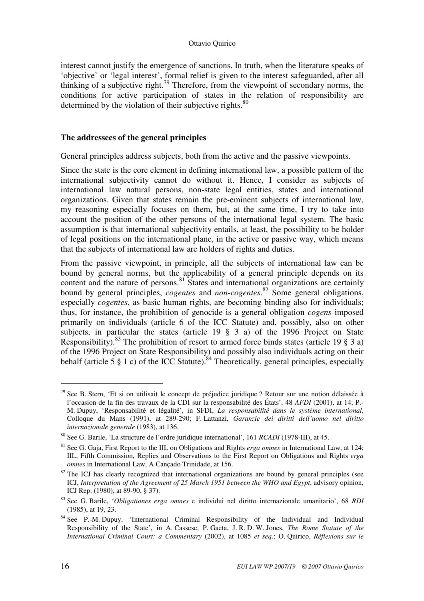interest cannot justify the emergence of sanctions. In truth, when the literature speaks of 'objective' or 'legal interest', formal relief is given to the interest safeguarded, after all thinking of a subjective right.<sup>79</sup> Therefore, from the viewpoint of secondary norms, the conditions for active participation of states in the relation of responsibility are determined by the violation of their subjective rights.<sup>80</sup>

#### **The addressees of the general principles**

General principles address subjects, both from the active and the passive viewpoints.

Since the state is the core element in defining international law, a possible pattern of the international subjectivity cannot do without it. Hence, I consider as subjects of international law natural persons, non-state legal entities, states and international organizations. Given that states remain the pre-eminent subjects of international law, my reasoning especially focuses on them, but, at the same time, I try to take into account the position of the other persons of the international legal system. The basic assumption is that international subjectivity entails, at least, the possibility to be holder of legal positions on the international plane, in the active or passive way, which means that the subjects of international law are holders of rights and duties.

From the passive viewpoint, in principle, all the subjects of international law can be bound by general norms, but the applicability of a general principle depends on its content and the nature of persons.<sup>81</sup> States and international organizations are certainly bound by general principles, *cogentes* and *non-cogentes*. <sup>82</sup> Some general obligations, especially *cogentes*, as basic human rights, are becoming binding also for individuals; thus, for instance, the prohibition of genocide is a general obligation *cogens* imposed primarily on individuals (article 6 of the ICC Statute) and, possibly, also on other subjects, in particular the states (article 19 § 3 a) of the 1996 Project on State Responsibility).<sup>83</sup> The prohibition of resort to armed force binds states (article 19  $\S$  3 a) of the 1996 Project on State Responsibility) and possibly also individuals acting on their behalf (article 5  $\S$  1 c) of the ICC Statute).<sup>84</sup> Theoretically, general principles, especially

 $79$  See B. Stern, 'Et si on utilisait le concept de préjudice juridique ? Retour sur une notion délaissée à l'occasion de la fin des travaux de la CDI sur la responsabilité des États', 48 *AFDI* (2001), at 14; P.- M. Dupuy, 'Responsabilité et légalité', in SFDI, *La responsabilité dans le système international*, Colloque du Mans (1991), at 289-290; F. Lattanzi, *Garanzie dei diritti dell'uomo nel diritto internazionale generale* (1983), at 136.

<sup>80</sup> See G. Barile, 'La structure de l'ordre juridique international', 161 *RCADI* (1978-III), at 45.

<sup>81</sup> See G. Gaja, First Report to the IIL on Obligations and Rights *erga omnes* in International Law, at 124; IIL, Fifth Commission, Replies and Observations to the First Report on Obligations and Rights *erga omnes* in International Law, A Cançado Trinidade, at 156.

 $82$  The ICJ has clearly recognized that international organizations are bound by general principles (see ICJ, *Interpretation of the Agreement of 25 March 1951 between the WHO and Egypt*, advisory opinion, ICJ Rep. (1980), at 89-90, § 37).

<sup>83</sup> See G. Barile, '*Obligationes erga omnes* e individui nel diritto internazionale umanitario', 68 *RDI* (1985), at 19, 23.

<sup>84</sup> See P.-M. Dupuy, 'International Criminal Responsibility of the Individual and Individual Responsibility of the State', in A. Cassese, P. Gaeta, J. R. D. W. Jones, *The Rome Statute of the International Criminal Court: a Commentary* (2002), at 1085 *et seq.*; O. Quirico, *Réflexions sur le*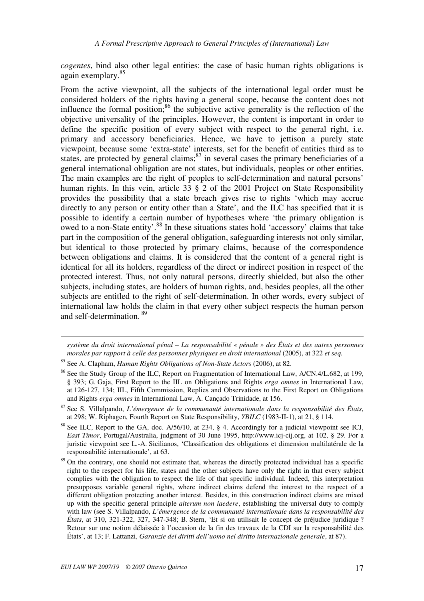*cogentes*, bind also other legal entities: the case of basic human rights obligations is again exemplary.<sup>85</sup>

From the active viewpoint, all the subjects of the international legal order must be considered holders of the rights having a general scope, because the content does not influence the formal position; $86$  the subjective active generality is the reflection of the objective universality of the principles. However, the content is important in order to define the specific position of every subject with respect to the general right, i.e. primary and accessory beneficiaries. Hence, we have to jettison a purely state viewpoint, because some 'extra-state' interests, set for the benefit of entities third as to states, are protected by general claims; $^{87}$  in several cases the primary beneficiaries of a general international obligation are not states, but individuals, peoples or other entities. The main examples are the right of peoples to self-determination and natural persons' human rights. In this vein, article 33 § 2 of the 2001 Project on State Responsibility provides the possibility that a state breach gives rise to rights 'which may accrue directly to any person or entity other than a State', and the ILC has specified that it is possible to identify a certain number of hypotheses where 'the primary obligation is owed to a non-State entity'.<sup>88</sup> In these situations states hold 'accessory' claims that take part in the composition of the general obligation, safeguarding interests not only similar, but identical to those protected by primary claims, because of the correspondence between obligations and claims. It is considered that the content of a general right is identical for all its holders, regardless of the direct or indirect position in respect of the protected interest. Thus, not only natural persons, directly shielded, but also the other subjects, including states, are holders of human rights, and, besides peoples, all the other subjects are entitled to the right of self-determination. In other words, every subject of international law holds the claim in that every other subject respects the human person and self-determination.<sup>89</sup>

*système du droit international pénal – La responsabilité « pénale » des États et des autres personnes morales par rapport à celle des personnes physiques en droit international* (2005), at 322 *et seq.*

1

<sup>85</sup> See A. Clapham, *Human Rights Obligations of Non-State Actors* (2006), at 82.

<sup>&</sup>lt;sup>86</sup> See the Study Group of the ILC, Report on Fragmentation of International Law, A/CN.4/L.682, at 199, § 393; G. Gaja, First Report to the IIL on Obligations and Rights *erga omnes* in International Law, at 126-127, 134; IIL, Fifth Commission, Replies and Observations to the First Report on Obligations and Rights *erga omnes* in International Law, A. Cançado Trinidade, at 156.

<sup>87</sup> See S. Villalpando, *L'émergence de la communauté internationale dans la responsabilité des États*, at 298; W. Riphagen, Fourth Report on State Responsibility, *YBILC* (1983-II-1), at 21, § 114.

<sup>&</sup>lt;sup>88</sup> See ILC, Report to the GA, doc. A/56/10, at 234, § 4. Accordingly for a judicial viewpoint see ICJ, *East Timor*, Portugal/Australia, judgment of 30 June 1995, http://www.icj-cij.org, at 102, § 29. For a juristic viewpoint see L.-A. Sicilianos, 'Classification des obligations et dimension multilatérale de la responsabilité internationale', at 63.

<sup>&</sup>lt;sup>89</sup> On the contrary, one should not estimate that, whereas the directly protected individual has a specific right to the respect for his life, states and the other subjects have only the right in that every subject complies with the obligation to respect the life of that specific individual. Indeed, this interpretation presupposes variable general rights, where indirect claims defend the interest to the respect of a different obligation protecting another interest. Besides, in this construction indirect claims are mixed up with the specific general principle *alterum non laedere*, establishing the universal duty to comply with law (see S. Villalpando, *L'émergence de la communauté internationale dans la responsabilité des États*, at 310, 321-322, 327, 347-348; B. Stern, 'Et si on utilisait le concept de préjudice juridique ? Retour sur une notion délaissée à l'occasion de la fin des travaux de la CDI sur la responsabilité des États', at 13; F. Lattanzi, *Garanzie dei diritti dell'uomo nel diritto internazionale generale*, at 87).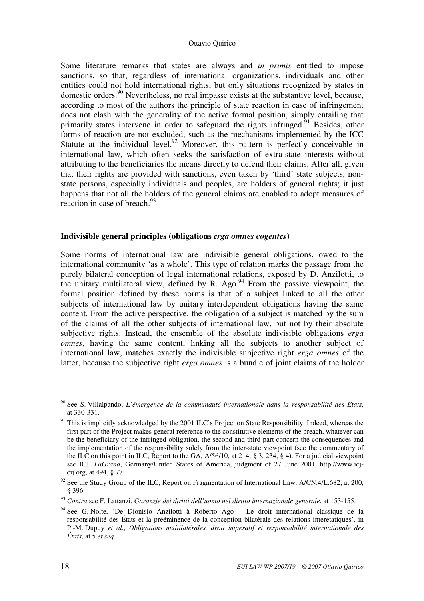Some literature remarks that states are always and *in primis* entitled to impose sanctions, so that, regardless of international organizations, individuals and other entities could not hold international rights, but only situations recognized by states in domestic orders.<sup>90</sup> Nevertheless, no real impasse exists at the substantive level, because, according to most of the authors the principle of state reaction in case of infringement does not clash with the generality of the active formal position, simply entailing that primarily states intervene in order to safeguard the rights infringed.<sup>91</sup> Besides, other forms of reaction are not excluded, such as the mechanisms implemented by the ICC Statute at the individual level.<sup>92</sup> Moreover, this pattern is perfectly conceivable in international law, which often seeks the satisfaction of extra-state interests without attributing to the beneficiaries the means directly to defend their claims. After all, given that their rights are provided with sanctions, even taken by 'third' state subjects, nonstate persons, especially individuals and peoples, are holders of general rights; it just happens that not all the holders of the general claims are enabled to adopt measures of reaction in case of breach. $^{93}$ 

## **Indivisible general principles (obligations** *erga omnes cogentes***)**

Some norms of international law are indivisible general obligations, owed to the international community 'as a whole'. This type of relation marks the passage from the purely bilateral conception of legal international relations, exposed by D. Anzilotti, to the unitary multilateral view, defined by R. Ago. $94$  From the passive viewpoint, the formal position defined by these norms is that of a subject linked to all the other subjects of international law by unitary interdependent obligations having the same content. From the active perspective, the obligation of a subject is matched by the sum of the claims of all the other subjects of international law, but not by their absolute subjective rights. Instead, the ensemble of the absolute indivisible obligations *erga omnes*, having the same content, linking all the subjects to another subject of international law, matches exactly the indivisible subjective right *erga omnes* of the latter, because the subjective right *erga omnes* is a bundle of joint claims of the holder

<sup>90</sup> See S. Villalpando, *L'émergence de la communauté internationale dans la responsabilité des États*, at 330-331.

 $91$  This is implicitly acknowledged by the 2001 ILC's Project on State Responsibility. Indeed, whereas the first part of the Project makes general reference to the constitutive elements of the breach, whatever can be the beneficiary of the infringed obligation, the second and third part concern the consequences and the implementation of the responsibility solely from the inter-state viewpoint (see the commentary of the ILC on this point in ILC, Report to the GA, A/56/10, at 214, § 3, 234, § 4). For a judicial viewpoint see ICJ, *LaGrand*, Germany/United States of America, judgment of 27 June 2001, http://www.icjcij.org, at 494, § 77.

 $92$  See the Study Group of the ILC, Report on Fragmentation of International Law, A/CN.4/L.682, at 200, § 396.

<sup>93</sup> *Contra* see F. Lattanzi, *Garanzie dei diritti dell'uomo nel diritto internazionale generale*, at 153-155.

<sup>&</sup>lt;sup>94</sup> See G. Nolte, 'De Dionisio Anzilotti à Roberto Ago – Le droit international classique de la responsabilité des États et la prééminence de la conception bilatérale des relations interétatiques', in P.-M. Dupuy *et al.*, *Obligations multilatérales, droit impératif et responsabilité internationale des États*, at 5 *et seq.*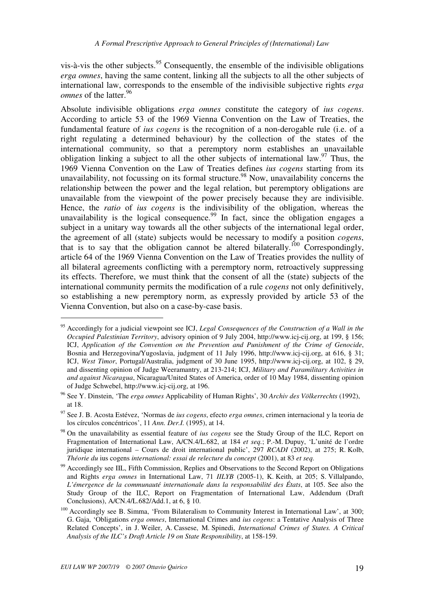vis-à-vis the other subjects.  $95$  Consequently, the ensemble of the indivisible obligations *erga omnes*, having the same content, linking all the subjects to all the other subjects of international law, corresponds to the ensemble of the indivisible subjective rights *erga omnes* of the latter.<sup>96</sup>

Absolute indivisible obligations *erga omnes* constitute the category of *ius cogens*. According to article 53 of the 1969 Vienna Convention on the Law of Treaties, the fundamental feature of *ius cogens* is the recognition of a non-derogable rule (i.e. of a right regulating a determined behaviour) by the collection of the states of the international community, so that a peremptory norm establishes an unavailable obligation linking a subject to all the other subjects of international law.<sup>97</sup> Thus, the 1969 Vienna Convention on the Law of Treaties defines *ius cogens* starting from its unavailability, not focussing on its formal structure.<sup>98</sup> Now, unavailability concerns the relationship between the power and the legal relation, but peremptory obligations are unavailable from the viewpoint of the power precisely because they are indivisible. Hence, the *ratio* of *ius cogens* is the indivisibility of the obligation, whereas the unavailability is the logical consequence.<sup>99</sup> In fact, since the obligation engages a subject in a unitary way towards all the other subjects of the international legal order, the agreement of all (state) subjects would be necessary to modify a position *cogens*, that is to say that the obligation cannot be altered bilaterally.<sup>100</sup> Correspondingly, article 64 of the 1969 Vienna Convention on the Law of Treaties provides the nullity of all bilateral agreements conflicting with a peremptory norm, retroactively suppressing its effects. Therefore, we must think that the consent of all the (state) subjects of the international community permits the modification of a rule *cogens* not only definitively, so establishing a new peremptory norm, as expressly provided by article 53 of the Vienna Convention, but also on a case-by-case basis.

<sup>95</sup> Accordingly for a judicial viewpoint see ICJ, *Legal Consequences of the Construction of a Wall in the Occupied Palestinian Territory*, advisory opinion of 9 July 2004, http://www.icj-cij.org, at 199, § 156; ICJ, *Application of the Convention on the Prevention and Punishment of the Crime of Genocide*, Bosnia and Herzegovina/Yugoslavia, judgment of 11 July 1996, http://www.icj-cij.org, at 616, § 31; ICJ, *West Timor*, Portugal/Australia, judgment of 30 June 1995, http://www.icj-cij.org, at 102, § 29, and dissenting opinion of Judge Weeramantry, at 213-214; ICJ, *Military and Paramilitary Activities in and against Nicaragua*, Nicaragua/United States of America, order of 10 May 1984, dissenting opinion of Judge Schwebel, http://www.icj-cij.org, at 196.

<sup>96</sup> See Y. Dinstein, 'The *erga omnes* Applicability of Human Rights', 30 *Archiv des Völkerrechts* (1992), at 18.

<sup>97</sup> See J. B. Acosta Estévez, 'Normas de *ius cogens*, efecto *erga omnes*, crimen internacional y la teoria de los círculos concéntricos', 11 *Ann. Der.I.* (1995), at 14.

<sup>98</sup> On the unavailability as essential feature of *ius cogens* see the Study Group of the ILC, Report on Fragmentation of International Law, A/CN.4/L.682, at 184 *et seq.*; P.-M. Dupuy, 'L'unité de l'ordre juridique international – Cours de droit international public', 297 *RCADI* (2002), at 275; R. Kolb, *Théorie du* ius cogens *international: essai de relecture du concept* (2001), at 83 *et seq.*

<sup>&</sup>lt;sup>99</sup> Accordingly see IIL, Fifth Commission, Replies and Observations to the Second Report on Obligations and Rights *erga omnes* in International Law, 71 *IILYB* (2005-1), K. Keith, at 205; S. Villalpando, *L'émergence de la communauté internationale dans la responsabilité des États*, at 105. See also the Study Group of the ILC, Report on Fragmentation of International Law, Addendum (Draft Conclusions), A/CN.4/L.682/Add.1, at 6, § 10.

<sup>&</sup>lt;sup>100</sup> Accordingly see B. Simma, 'From Bilateralism to Community Interest in International Law', at 300; G. Gaja, 'Obligations *erga omnes*, International Crimes and *ius cogens*: a Tentative Analysis of Three Related Concepts', in J. Weiler, A. Cassese, M. Spinedi, *International Crimes of States. A Critical Analysis of the ILC's Draft Article 19 on State Responsibility*, at 158-159.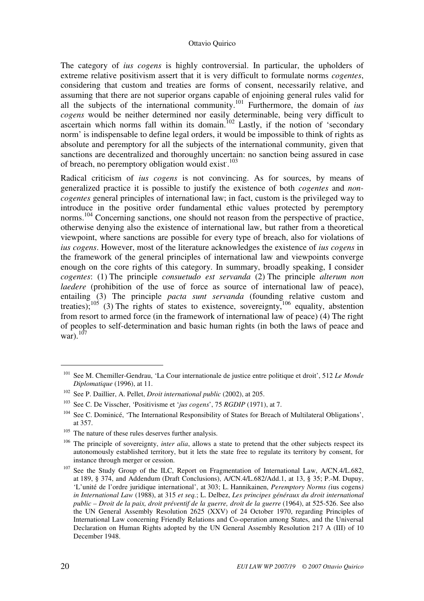The category of *ius cogens* is highly controversial. In particular, the upholders of extreme relative positivism assert that it is very difficult to formulate norms *cogentes*, considering that custom and treaties are forms of consent, necessarily relative, and assuming that there are not superior organs capable of enjoining general rules valid for all the subjects of the international community.<sup>101</sup> Furthermore, the domain of *ius cogens* would be neither determined nor easily determinable, being very difficult to ascertain which norms fall within its domain.<sup>102</sup> Lastly, if the notion of 'secondary norm' is indispensable to define legal orders, it would be impossible to think of rights as absolute and peremptory for all the subjects of the international community, given that sanctions are decentralized and thoroughly uncertain: no sanction being assured in case of breach, no peremptory obligation would exist.<sup>103</sup>

Radical criticism of *ius cogens* is not convincing. As for sources, by means of generalized practice it is possible to justify the existence of both *cogentes* and *noncogentes* general principles of international law; in fact, custom is the privileged way to introduce in the positive order fundamental ethic values protected by peremptory norms.<sup>104</sup> Concerning sanctions, one should not reason from the perspective of practice, otherwise denying also the existence of international law, but rather from a theoretical viewpoint, where sanctions are possible for every type of breach, also for violations of *ius cogens*. However, most of the literature acknowledges the existence of *ius cogens* in the framework of the general principles of international law and viewpoints converge enough on the core rights of this category. In summary, broadly speaking, I consider *cogentes*: (1) The principle *consuetudo est servanda* (2) The principle *alterum non laedere* (prohibition of the use of force as source of international law of peace), entailing (3) The principle *pacta sunt servanda* (founding relative custom and treaties);<sup>105</sup> (3) The rights of states to existence, sovereignty,<sup>106</sup> equality, abstention from resort to armed force (in the framework of international law of peace) (4) The right of peoples to self-determination and basic human rights (in both the laws of peace and war). $^{107}$ 

<sup>101</sup> See M. Chemiller-Gendrau, 'La Cour internationale de justice entre politique et droit', 512 *Le Monde Diplomatique* (1996), at 11.

<sup>102</sup> See P. Daillier, A. Pellet, *Droit international public* (2002), at 205.

<sup>103</sup> See C. De Visscher, 'Positivisme et '*jus cogens*', 75 *RGDIP* (1971), at 7.

<sup>&</sup>lt;sup>104</sup> See C. Dominicé, 'The International Responsibility of States for Breach of Multilateral Obligations', at 357.

<sup>&</sup>lt;sup>105</sup> The nature of these rules deserves further analysis.

<sup>&</sup>lt;sup>106</sup> The principle of sovereignty, *inter alia*, allows a state to pretend that the other subjects respect its autonomously established territory, but it lets the state free to regulate its territory by consent, for instance through merger or cession.

<sup>&</sup>lt;sup>107</sup> See the Study Group of the ILC, Report on Fragmentation of International Law, A/CN.4/L.682, at 189, § 374, and Addendum (Draft Conclusions), A/CN.4/L.682/Add.1, at 13, § 35; P.-M. Dupuy, 'L'unité de l'ordre juridique international', at 303; L. Hannikainen, *Peremptory Norms (*ius cogens*) in International Law* (1988), at 315 *et seq.*; L. Delbez, *Les principes généraux du droit international public – Droit de la paix, droit préventif de la guerre, droit de la guerre* (1964), at 525-526. See also the UN General Assembly Resolution 2625 (XXV) of 24 October 1970, regarding Principles of International Law concerning Friendly Relations and Co-operation among States, and the Universal Declaration on Human Rights adopted by the UN General Assembly Resolution 217 A (III) of 10 December 1948.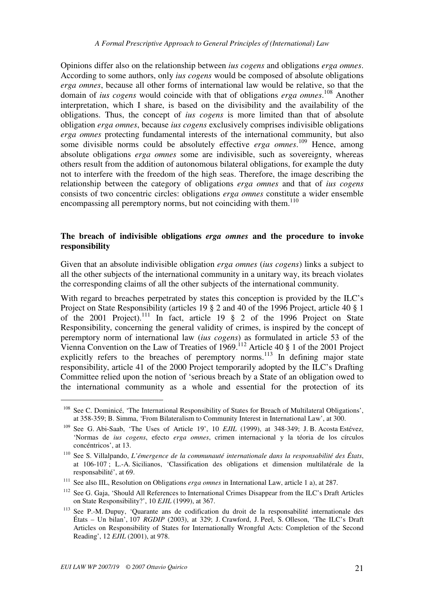Opinions differ also on the relationship between *ius cogens* and obligations *erga omnes*. According to some authors, only *ius cogens* would be composed of absolute obligations *erga omnes*, because all other forms of international law would be relative, so that the domain of *ius cogens* would coincide with that of obligations *erga omnes*. <sup>108</sup> Another interpretation, which I share, is based on the divisibility and the availability of the obligations. Thus, the concept of *ius cogens* is more limited than that of absolute obligation *erga omnes*, because *ius cogens* exclusively comprises indivisible obligations *erga omnes* protecting fundamental interests of the international community, but also some divisible norms could be absolutely effective *erga omnes*. <sup>109</sup> Hence, among absolute obligations *erga omnes* some are indivisible, such as sovereignty, whereas others result from the addition of autonomous bilateral obligations, for example the duty not to interfere with the freedom of the high seas. Therefore, the image describing the relationship between the category of obligations *erga omnes* and that of *ius cogens* consists of two concentric circles: obligations *erga omnes* constitute a wider ensemble encompassing all peremptory norms, but not coinciding with them.<sup>110</sup>

## **The breach of indivisible obligations** *erga omnes* **and the procedure to invoke responsibility**

Given that an absolute indivisible obligation *erga omnes* (*ius cogens*) links a subject to all the other subjects of the international community in a unitary way, its breach violates the corresponding claims of all the other subjects of the international community.

With regard to breaches perpetrated by states this conception is provided by the ILC's Project on State Responsibility (articles 19 § 2 and 40 of the 1996 Project, article 40 § 1 of the 2001 Project).<sup>111</sup> In fact, article 19  $\S$  2 of the 1996 Project on State Responsibility, concerning the general validity of crimes, is inspired by the concept of peremptory norm of international law (*ius cogens*) as formulated in article 53 of the Vienna Convention on the Law of Treaties of  $1969$ .<sup>112</sup> Article 40 § 1 of the 2001 Project explicitly refers to the breaches of peremptory norms.<sup>113</sup> In defining major state responsibility, article 41 of the 2000 Project temporarily adopted by the ILC's Drafting Committee relied upon the notion of 'serious breach by a State of an obligation owed to the international community as a whole and essential for the protection of its

<sup>&</sup>lt;sup>108</sup> See C. Dominicé, 'The International Responsibility of States for Breach of Multilateral Obligations', at 358-359; B. Simma, 'From Bilateralism to Community Interest in International Law', at 300.

<sup>&</sup>lt;sup>109</sup> See G. Abi-Saab, 'The Uses of Article 19', 10 *EJIL* (1999), at 348-349; J. B. Acosta Estévez, 'Normas de *ius cogens*, efecto *erga omnes*, crimen internacional y la téoria de los círculos concéntricos', at 13.

<sup>110</sup> See S. Villalpando, *L'émergence de la communauté internationale dans la responsabilité des États*, at 106-107 ; L.-A. Sicilianos, 'Classification des obligations et dimension multilatérale de la responsabilité', at 69.

<sup>111</sup> See also IIL, Resolution on Obligations *erga omnes* in International Law, article 1 a), at 287.

<sup>112</sup> See G. Gaja, 'Should All References to International Crimes Disappear from the ILC's Draft Articles on State Responsibility?', 10 *EJIL* (1999), at 367.

<sup>&</sup>lt;sup>113</sup> See P.-M. Dupuy, 'Quarante ans de codification du droit de la responsabilité internationale des États – Un bilan', 107 *RGDIP* (2003), at 329; J. Crawford, J. Peel, S. Olleson, 'The ILC's Draft Articles on Responsibility of States for Internationally Wrongful Acts: Completion of the Second Reading', 12 *EJIL* (2001), at 978.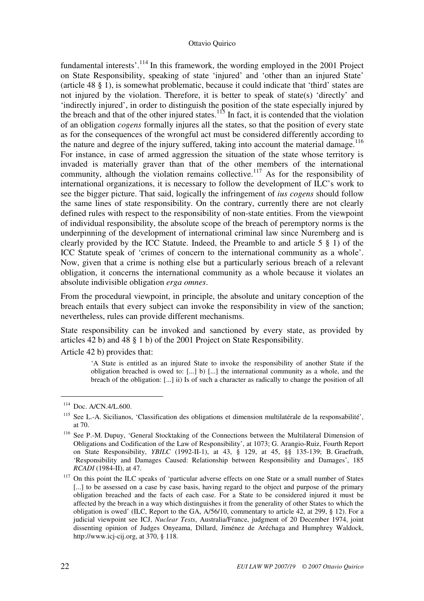fundamental interests'. $^{114}$  In this framework, the wording employed in the 2001 Project on State Responsibility, speaking of state 'injured' and 'other than an injured State' (article 48 § 1), is somewhat problematic, because it could indicate that 'third' states are not injured by the violation. Therefore, it is better to speak of state(s) 'directly' and 'indirectly injured', in order to distinguish the position of the state especially injured by the breach and that of the other injured states.<sup>115</sup> In fact, it is contended that the violation of an obligation *cogens* formally injures all the states, so that the position of every state as for the consequences of the wrongful act must be considered differently according to the nature and degree of the injury suffered, taking into account the material damage.<sup>116</sup> For instance, in case of armed aggression the situation of the state whose territory is invaded is materially graver than that of the other members of the international community, although the violation remains collective.<sup>117</sup> As for the responsibility of international organizations, it is necessary to follow the development of ILC's work to see the bigger picture. That said, logically the infringement of *ius cogens* should follow the same lines of state responsibility. On the contrary, currently there are not clearly defined rules with respect to the responsibility of non-state entities. From the viewpoint of individual responsibility, the absolute scope of the breach of peremptory norms is the underpinning of the development of international criminal law since Nuremberg and is clearly provided by the ICC Statute. Indeed, the Preamble to and article 5 § 1) of the ICC Statute speak of 'crimes of concern to the international community as a whole'. Now, given that a crime is nothing else but a particularly serious breach of a relevant obligation, it concerns the international community as a whole because it violates an absolute indivisible obligation *erga omnes*.

From the procedural viewpoint, in principle, the absolute and unitary conception of the breach entails that every subject can invoke the responsibility in view of the sanction; nevertheless, rules can provide different mechanisms.

State responsibility can be invoked and sanctioned by every state, as provided by articles 42 b) and 48 § 1 b) of the 2001 Project on State Responsibility.

Article 42 b) provides that:

'A State is entitled as an injured State to invoke the responsibility of another State if the obligation breached is owed to:  $[\dots]$  b)  $[\dots]$  the international community as a whole, and the breach of the obligation: [...] ii) Is of such a character as radically to change the position of all

<sup>&</sup>lt;sup>114</sup> Doc. A/CN.4/L.600.

<sup>&</sup>lt;sup>115</sup> See L.-A. Sicilianos, 'Classification des obligations et dimension multilatérale de la responsabilité', at 70.

<sup>116</sup> See P.-M. Dupuy, 'General Stocktaking of the Connections between the Multilateral Dimension of Obligations and Codification of the Law of Responsibility', at 1073; G. Arangio-Ruiz, Fourth Report on State Responsibility, *YBILC* (1992-II-1), at 43, § 129, at 45, §§ 135-139; B. Graefrath, 'Responsibility and Damages Caused: Relationship between Responsibility and Damages', 185 *RCADI* (1984-II), at 47.

<sup>&</sup>lt;sup>117</sup> On this point the ILC speaks of 'particular adverse effects on one State or a small number of States [...] to be assessed on a case by case basis, having regard to the object and purpose of the primary obligation breached and the facts of each case. For a State to be considered injured it must be affected by the breach in a way which distinguishes it from the generality of other States to which the obligation is owed' (ILC, Report to the GA, A/56/10, commentary to article 42, at 299, § 12). For a judicial viewpoint see ICJ, *Nuclear Tests*, Australia/France, judgment of 20 December 1974, joint dissenting opinion of Judges Onyeama, Dillard, Jiménez de Aréchaga and Humphrey Waldock, http://www.icj-cij.org, at 370, § 118.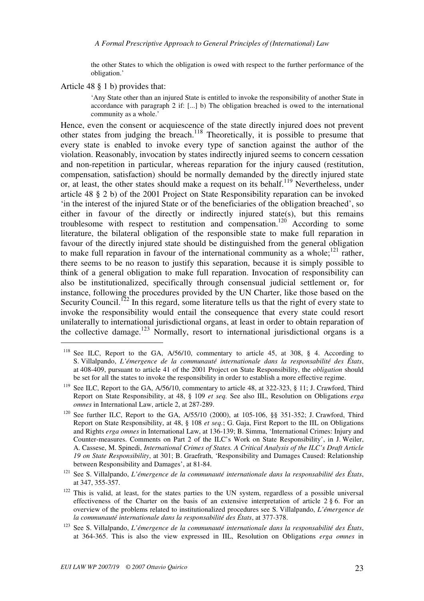the other States to which the obligation is owed with respect to the further performance of the obligation.'

Article 48 § 1 b) provides that:

 $\overline{a}$ 

'Any State other than an injured State is entitled to invoke the responsibility of another State in accordance with paragraph 2 if: [...] b) The obligation breached is owed to the international community as a whole.'

Hence, even the consent or acquiescence of the state directly injured does not prevent other states from judging the breach.<sup>118</sup> Theoretically, it is possible to presume that every state is enabled to invoke every type of sanction against the author of the violation. Reasonably, invocation by states indirectly injured seems to concern cessation and non-repetition in particular, whereas reparation for the injury caused (restitution, compensation, satisfaction) should be normally demanded by the directly injured state or, at least, the other states should make a request on its behalf.<sup>119</sup> Nevertheless, under article 48 § 2 b) of the 2001 Project on State Responsibility reparation can be invoked 'in the interest of the injured State or of the beneficiaries of the obligation breached', so either in favour of the directly or indirectly injured state(s), but this remains troublesome with respect to restitution and compensation.<sup>120</sup> According to some literature, the bilateral obligation of the responsible state to make full reparation in favour of the directly injured state should be distinguished from the general obligation to make full reparation in favour of the international community as a whole; $^{121}$  rather, there seems to be no reason to justify this separation, because it is simply possible to think of a general obligation to make full reparation. Invocation of responsibility can also be institutionalized, specifically through consensual judicial settlement or, for instance, following the procedures provided by the UN Charter, like those based on the Security Council.<sup>122</sup> In this regard, some literature tells us that the right of every state to invoke the responsibility would entail the consequence that every state could resort unilaterally to international jurisdictional organs, at least in order to obtain reparation of the collective damage.<sup>123</sup> Normally, resort to international jurisdictional organs is a

<sup>&</sup>lt;sup>118</sup> See ILC, Report to the GA, A/56/10, commentary to article 45, at 308, § 4. According to S. Villalpando, *L'émergence de la communauté internationale dans la responsabilité des États*, at 408-409, pursuant to article 41 of the 2001 Project on State Responsibility, the *obligation* should be set for all the states to invoke the responsibility in order to establish a more effective regime.

<sup>&</sup>lt;sup>119</sup> See ILC, Report to the GA, A/56/10, commentary to article 48, at 322-323, § 11; J. Crawford, Third Report on State Responsibility, at 48, § 109 *et seq.* See also IIL, Resolution on Obligations *erga omnes* in International Law, article 2, at 287-289.

<sup>120</sup> See further ILC, Report to the GA, A/55/10 (2000), at 105-106, §§ 351-352; J. Crawford, Third Report on State Responsibility, at 48, § 108 *et seq.*; G. Gaja, First Report to the IIL on Obligations and Rights *erga omnes* in International Law, at 136-139; B. Simma, 'International Crimes: Injury and Counter-measures. Comments on Part 2 of the ILC's Work on State Responsibility', in J. Weiler, A. Cassese, M. Spinedi, *International Crimes of States. A Critical Analysis of the ILC's Draft Article 19 on State Responsibility*, at 301; B. Graefrath, 'Responsibility and Damages Caused: Relationship between Responsibility and Damages', at 81-84.

<sup>121</sup> See S. Villalpando, *L'émergence de la communauté internationale dans la responsabilité des États*, at 347, 355-357.

<sup>&</sup>lt;sup>122</sup> This is valid, at least, for the states parties to the UN system, regardless of a possible universal effectiveness of the Charter on the basis of an extensive interpretation of article  $2 \xi$  6. For an overview of the problems related to institutionalized procedures see S. Villalpando, *L'émergence de la communauté internationale dans la responsabilité des États*, at 377-378.

<sup>123</sup> See S. Villalpando, *L'émergence de la communauté internationale dans la responsabilité des États*, at 364-365. This is also the view expressed in IIL, Resolution on Obligations *erga omnes* in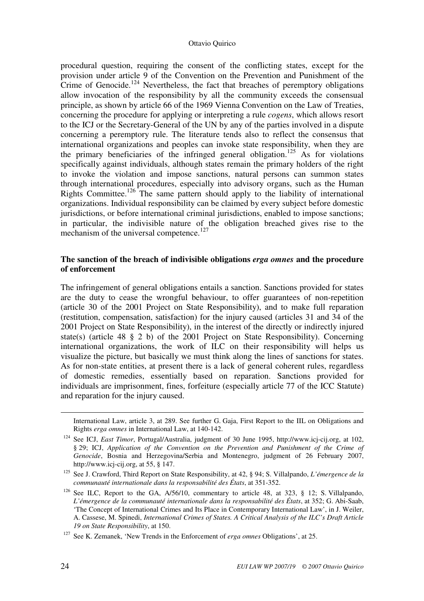procedural question, requiring the consent of the conflicting states, except for the provision under article 9 of the Convention on the Prevention and Punishment of the Crime of Genocide.<sup>124</sup> Nevertheless, the fact that breaches of peremptory obligations allow invocation of the responsibility by all the community exceeds the consensual principle, as shown by article 66 of the 1969 Vienna Convention on the Law of Treaties, concerning the procedure for applying or interpreting a rule *cogens*, which allows resort to the ICJ or the Secretary-General of the UN by any of the parties involved in a dispute concerning a peremptory rule. The literature tends also to reflect the consensus that international organizations and peoples can invoke state responsibility, when they are the primary beneficiaries of the infringed general obligation.<sup>125</sup> As for violations specifically against individuals, although states remain the primary holders of the right to invoke the violation and impose sanctions, natural persons can summon states through international procedures, especially into advisory organs, such as the Human Rights Committee.<sup>126</sup> The same pattern should apply to the liability of international organizations. Individual responsibility can be claimed by every subject before domestic jurisdictions, or before international criminal jurisdictions, enabled to impose sanctions; in particular, the indivisible nature of the obligation breached gives rise to the mechanism of the universal competence.<sup>127</sup>

## **The sanction of the breach of indivisible obligations** *erga omnes* **and the procedure of enforcement**

The infringement of general obligations entails a sanction. Sanctions provided for states are the duty to cease the wrongful behaviour, to offer guarantees of non-repetition (article 30 of the 2001 Project on State Responsibility), and to make full reparation (restitution, compensation, satisfaction) for the injury caused (articles 31 and 34 of the 2001 Project on State Responsibility), in the interest of the directly or indirectly injured state(s) (article 48 § 2 b) of the 2001 Project on State Responsibility). Concerning international organizations, the work of ILC on their responsibility will helps us visualize the picture, but basically we must think along the lines of sanctions for states. As for non-state entities, at present there is a lack of general coherent rules, regardless of domestic remedies, essentially based on reparation. Sanctions provided for individuals are imprisonment, fines, forfeiture (especially article 77 of the ICC Statute) and reparation for the injury caused.

1

International Law, article 3, at 289. See further G. Gaja, First Report to the IIL on Obligations and Rights *erga omnes* in International Law, at 140-142.

<sup>124</sup> See ICJ, *East Timor*, Portugal/Australia, judgment of 30 June 1995, http://www.icj-cij.org, at 102, § 29; ICJ, *Application of the Convention on the Prevention and Punishment of the Crime of Genocide*, Bosnia and Herzegovina/Serbia and Montenegro, judgment of 26 February 2007, http://www.icj-cij.org, at 55, § 147.

<sup>125</sup> See J. Crawford, Third Report on State Responsibility, at 42, § 94; S. Villalpando, *L'émergence de la communauté internationale dans la responsabilité des États*, at 351-352.

<sup>&</sup>lt;sup>126</sup> See ILC, Report to the GA, A/56/10, commentary to article 48, at 323, § 12; S. Villalpando, *L'émergence de la communauté internationale dans la responsabilité des États*, at 352; G. Abi-Saab, 'The Concept of International Crimes and Its Place in Contemporary International Law', in J. Weiler, A. Cassese, M. Spinedi, *International Crimes of States. A Critical Analysis of the ILC's Draft Article 19 on State Responsibility*, at 150.

<sup>127</sup> See K. Zemanek, 'New Trends in the Enforcement of *erga omnes* Obligations', at 25.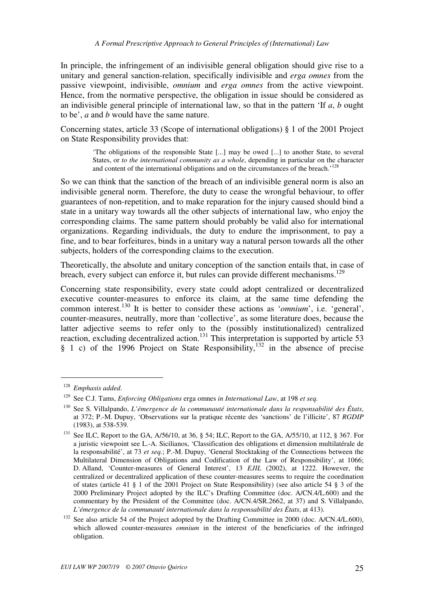In principle, the infringement of an indivisible general obligation should give rise to a unitary and general sanction-relation, specifically indivisible and *erga omnes* from the passive viewpoint, indivisible, *omnium* and *erga omnes* from the active viewpoint. Hence, from the normative perspective, the obligation in issue should be considered as an indivisible general principle of international law, so that in the pattern 'If *a*, *b* ought to be', *a* and *b* would have the same nature.

Concerning states, article 33 (Scope of international obligations) § 1 of the 2001 Project on State Responsibility provides that:

> 'The obligations of the responsible State [...] may be owed [...] to another State, to several States, or *to the international community as a whole*, depending in particular on the character and content of the international obligations and on the circumstances of the breach.<sup>128</sup>

So we can think that the sanction of the breach of an indivisible general norm is also an indivisible general norm. Therefore, the duty to cease the wrongful behaviour, to offer guarantees of non-repetition, and to make reparation for the injury caused should bind a state in a unitary way towards all the other subjects of international law, who enjoy the corresponding claims. The same pattern should probably be valid also for international organizations. Regarding individuals, the duty to endure the imprisonment, to pay a fine, and to bear forfeitures, binds in a unitary way a natural person towards all the other subjects, holders of the corresponding claims to the execution.

Theoretically, the absolute and unitary conception of the sanction entails that, in case of breach, every subject can enforce it, but rules can provide different mechanisms.<sup>129</sup>

Concerning state responsibility, every state could adopt centralized or decentralized executive counter-measures to enforce its claim, at the same time defending the common interest.<sup>130</sup> It is better to consider these actions as '*omnium*', i.e. 'general', counter-measures, neutrally, more than 'collective', as some literature does, because the latter adjective seems to refer only to the (possibly institutionalized) centralized reaction, excluding decentralized action.<sup>131</sup> This interpretation is supported by article 53  $\frac{1}{2}$  1 c) of the 1996 Project on State Responsibility,<sup>132</sup> in the absence of precise

<sup>128</sup> *Emphasis added*.

<sup>129</sup> See C.J. Tams, *Enforcing Obligations* erga omnes *in International Law*, at 198 *et seq.*

<sup>130</sup> See S. Villalpando, *L'émergence de la communauté internationale dans la responsabilité des États*, at 372; P.-M. Dupuy, 'Observations sur la pratique récente des 'sanctions' de l'illicite', 87 *RGDIP*  (1983), at 538-539.

<sup>131</sup> See ILC, Report to the GA, A/56/10, at 36, § 54; ILC, Report to the GA, A/55/10, at 112, § 367. For a juristic viewpoint see L.-A. Sicilianos, 'Classification des obligations et dimension multilatérale de la responsabilité', at 73 *et seq.*; P.-M. Dupuy, 'General Stocktaking of the Connections between the Multilateral Dimension of Obligations and Codification of the Law of Responsibility', at 1066; D. Alland, 'Counter-measures of General Interest', 13 *EJIL* (2002), at 1222. However, the centralized or decentralized application of these counter-measures seems to require the coordination of states (article 41 § 1 of the 2001 Project on State Responsibility) (see also article 54 § 3 of the 2000 Preliminary Project adopted by the ILC's Drafting Committee (doc. A/CN.4/L.600) and the commentary by the President of the Committee (doc. A/CN.4/SR.2662, at 37) and S. Villalpando, *L'émergence de la communauté internationale dans la responsabilité des États*, at 413).

<sup>&</sup>lt;sup>132</sup> See also article 54 of the Project adopted by the Drafting Committee in 2000 (doc. A/CN.4/L.600), which allowed counter-measures *omnium* in the interest of the beneficiaries of the infringed obligation.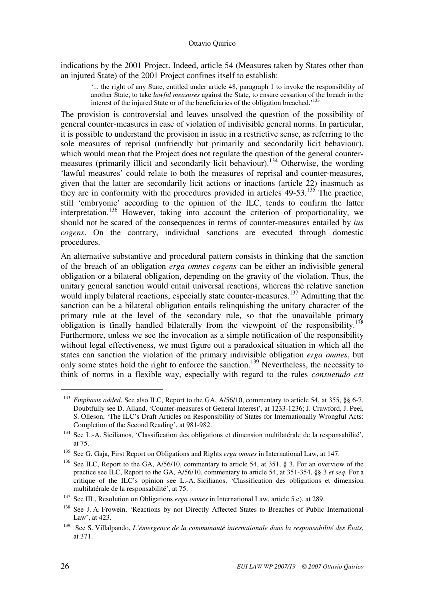indications by the 2001 Project. Indeed, article 54 (Measures taken by States other than an injured State) of the 2001 Project confines itself to establish:

'... the right of any State, entitled under article 48, paragraph 1 to invoke the responsibility of another State, to take *lawful measures* against the State, to ensure cessation of the breach in the interest of the injured State or of the beneficiaries of the obligation breached.<sup>133</sup>

The provision is controversial and leaves unsolved the question of the possibility of general counter-measures in case of violation of indivisible general norms. In particular, it is possible to understand the provision in issue in a restrictive sense, as referring to the sole measures of reprisal (unfriendly but primarily and secondarily licit behaviour), which would mean that the Project does not regulate the question of the general countermeasures (primarily illicit and secondarily licit behaviour).<sup>134</sup> Otherwise, the wording 'lawful measures' could relate to both the measures of reprisal and counter-measures, given that the latter are secondarily licit actions or inactions (article 22) inasmuch as they are in conformity with the procedures provided in articles  $49-53$ .<sup>135</sup> The practice, still 'embryonic' according to the opinion of the ILC, tends to confirm the latter interpretation.<sup>136</sup> However, taking into account the criterion of proportionality, we should not be scared of the consequences in terms of counter-measures entailed by *ius cogens*. On the contrary, individual sanctions are executed through domestic procedures.

An alternative substantive and procedural pattern consists in thinking that the sanction of the breach of an obligation *erga omnes cogens* can be either an indivisible general obligation or a bilateral obligation, depending on the gravity of the violation. Thus, the unitary general sanction would entail universal reactions, whereas the relative sanction would imply bilateral reactions, especially state counter-measures.<sup>137</sup> Admitting that the sanction can be a bilateral obligation entails relinquishing the unitary character of the primary rule at the level of the secondary rule, so that the unavailable primary obligation is finally handled bilaterally from the viewpoint of the responsibility.<sup>138</sup> Furthermore, unless we see the invocation as a simple notification of the responsibility without legal effectiveness, we must figure out a paradoxical situation in which all the states can sanction the violation of the primary indivisible obligation *erga omnes*, but only some states hold the right to enforce the sanction.<sup>139</sup> Nevertheless, the necessity to think of norms in a flexible way, especially with regard to the rules *consuetudo est* 

<sup>&</sup>lt;sup>133</sup> *Emphasis added*. See also ILC, Report to the GA, A/56/10, commentary to article 54, at 355, §§ 6-7. Doubtfully see D. Alland, 'Counter-measures of General Interest', at 1233-1236; J. Crawford, J. Peel, S. Olleson, 'The ILC's Draft Articles on Responsibility of States for Internationally Wrongful Acts: Completion of the Second Reading', at 981-982.

<sup>134</sup> See L.-A. Sicilianos, 'Classification des obligations et dimension multilatérale de la responsabilité', at 75.

<sup>135</sup> See G. Gaja, First Report on Obligations and Rights *erga omnes* in International Law, at 147.

<sup>&</sup>lt;sup>136</sup> See ILC, Report to the GA, A/56/10, commentary to article 54, at 351, § 3. For an overview of the practice see ILC, Report to the GA, A/56/10, commentary to article 54, at 351-354, §§ 3 *et seq.* For a critique of the ILC's opinion see L.-A. Sicilianos, 'Classification des obligations et dimension multilatérale de la responsabilité', at 75.

<sup>137</sup> See IIL, Resolution on Obligations *erga omnes* in International Law, article 5 c), at 289.

<sup>&</sup>lt;sup>138</sup> See J. A. Frowein. 'Reactions by not Directly Affected States to Breaches of Public International Law', at 423.

<sup>139</sup> See S. Villalpando, *L'émergence de la communauté internationale dans la responsabilité des États*, at 371.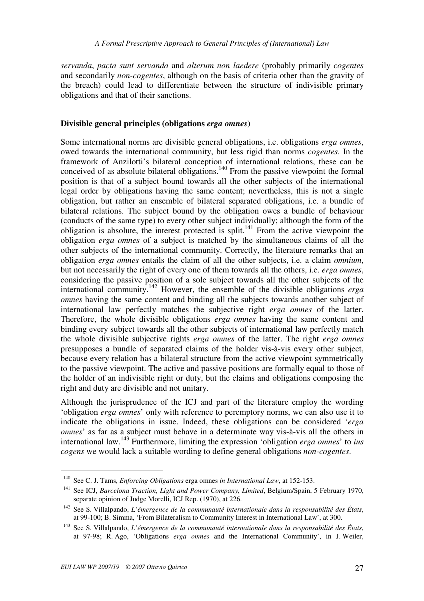*servanda*, *pacta sunt servanda* and *alterum non laedere* (probably primarily *cogentes* and secondarily *non-cogentes*, although on the basis of criteria other than the gravity of the breach) could lead to differentiate between the structure of indivisible primary obligations and that of their sanctions.

## **Divisible general principles (obligations** *erga omnes***)**

Some international norms are divisible general obligations, i.e. obligations *erga omnes*, owed towards the international community, but less rigid than norms *cogentes*. In the framework of Anzilotti's bilateral conception of international relations, these can be conceived of as absolute bilateral obligations.<sup>140</sup> From the passive viewpoint the formal position is that of a subject bound towards all the other subjects of the international legal order by obligations having the same content; nevertheless, this is not a single obligation, but rather an ensemble of bilateral separated obligations, i.e. a bundle of bilateral relations. The subject bound by the obligation owes a bundle of behaviour (conducts of the same type) to every other subject individually; although the form of the obligation is absolute, the interest protected is split.<sup>141</sup> From the active viewpoint the obligation *erga omnes* of a subject is matched by the simultaneous claims of all the other subjects of the international community. Correctly, the literature remarks that an obligation *erga omnes* entails the claim of all the other subjects, i.e. a claim *omnium*, but not necessarily the right of every one of them towards all the others, i.e. *erga omnes*, considering the passive position of a sole subject towards all the other subjects of the international community.<sup>142</sup> However, the ensemble of the divisible obligations *erga omnes* having the same content and binding all the subjects towards another subject of international law perfectly matches the subjective right *erga omnes* of the latter. Therefore, the whole divisible obligations *erga omnes* having the same content and binding every subject towards all the other subjects of international law perfectly match the whole divisible subjective rights *erga omnes* of the latter. The right *erga omnes* presupposes a bundle of separated claims of the holder vis-à-vis every other subject, because every relation has a bilateral structure from the active viewpoint symmetrically to the passive viewpoint. The active and passive positions are formally equal to those of the holder of an indivisible right or duty, but the claims and obligations composing the right and duty are divisible and not unitary.

Although the jurisprudence of the ICJ and part of the literature employ the wording 'obligation *erga omnes*' only with reference to peremptory norms, we can also use it to indicate the obligations in issue. Indeed, these obligations can be considered '*erga omnes*' as far as a subject must behave in a determinate way vis-à-vis all the others in international law.<sup>143</sup> Furthermore, limiting the expression 'obligation *erga omnes*' to *ius cogens* we would lack a suitable wording to define general obligations *non-cogentes*.

<sup>140</sup> See C. J. Tams, *Enforcing Obligations* erga omnes *in International Law*, at 152-153.

<sup>141</sup> See ICJ, *Barcelona Traction, Light and Power Company, Limited*, Belgium/Spain, 5 February 1970, separate opinion of Judge Morelli, ICJ Rep. (1970), at 226.

<sup>142</sup> See S. Villalpando, *L'émergence de la communauté internationale dans la responsabilité des États*, at 99-100; B. Simma, 'From Bilateralism to Community Interest in International Law', at 300.

<sup>143</sup> See S. Villalpando, *L'émergence de la communauté internationale dans la responsabilité des États*, at 97-98; R. Ago, 'Obligations *erga omnes* and the International Community', in J. Weiler,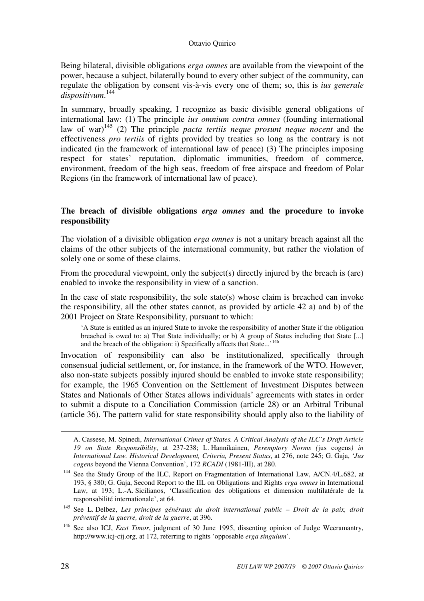Being bilateral, divisible obligations *erga omnes* are available from the viewpoint of the power, because a subject, bilaterally bound to every other subject of the community, can regulate the obligation by consent vis-à-vis every one of them; so, this is *ius generale dispositivum*. 144

In summary, broadly speaking, I recognize as basic divisible general obligations of international law: (1) The principle *ius omnium contra omnes* (founding international law of war)<sup>145</sup> (2) The principle *pacta tertiis neque prosunt neque nocent* and the effectiveness *pro tertiis* of rights provided by treaties so long as the contrary is not indicated (in the framework of international law of peace) (3) The principles imposing respect for states' reputation, diplomatic immunities, freedom of commerce, environment, freedom of the high seas, freedom of free airspace and freedom of Polar Regions (in the framework of international law of peace).

## **The breach of divisible obligations** *erga omnes* **and the procedure to invoke responsibility**

The violation of a divisible obligation *erga omnes* is not a unitary breach against all the claims of the other subjects of the international community, but rather the violation of solely one or some of these claims.

From the procedural viewpoint, only the subject(s) directly injured by the breach is (are) enabled to invoke the responsibility in view of a sanction.

In the case of state responsibility, the sole state(s) whose claim is breached can invoke the responsibility, all the other states cannot, as provided by article 42 a) and b) of the 2001 Project on State Responsibility, pursuant to which:

'A State is entitled as an injured State to invoke the responsibility of another State if the obligation breached is owed to: a) That State individually; or b) A group of States including that State [...] and the breach of the obligation: i) Specifically affects that State...<sup>146</sup>

Invocation of responsibility can also be institutionalized, specifically through consensual judicial settlement, or, for instance, in the framework of the WTO. However, also non-state subjects possibly injured should be enabled to invoke state responsibility; for example, the 1965 Convention on the Settlement of Investment Disputes between States and Nationals of Other States allows individuals' agreements with states in order to submit a dispute to a Conciliation Commission (article 28) or an Arbitral Tribunal (article 36). The pattern valid for state responsibility should apply also to the liability of

A. Cassese, M. Spinedi, *International Crimes of States. A Critical Analysis of the ILC's Draft Article 19 on State Responsibility*, at 237-238; L. Hannikainen, *Peremptory Norms (*jus cogens*) in International Law. Historical Development, Criteria, Present Status*, at 276, note 245; G. Gaja, '*Jus cogens* beyond the Vienna Convention', 172 *RCADI* (1981-III), at 280.

1

<sup>&</sup>lt;sup>144</sup> See the Study Group of the ILC, Report on Fragmentation of International Law, A/CN.4/L.682, at 193, § 380; G. Gaja, Second Report to the IIL on Obligations and Rights *erga omnes* in International Law, at 193; L.-A. Sicilianos, 'Classification des obligations et dimension multilatérale de la responsabilité internationale', at 64.

<sup>145</sup> See L. Delbez, *Les principes généraux du droit international public – Droit de la paix, droit préventif de la guerre, droit de la guerre*, at 396.

<sup>&</sup>lt;sup>146</sup> See also ICJ, *East Timor*, judgment of 30 June 1995, dissenting opinion of Judge Weeramantry, http://www.icj-cij.org, at 172, referring to rights 'opposable *erga singulum*'.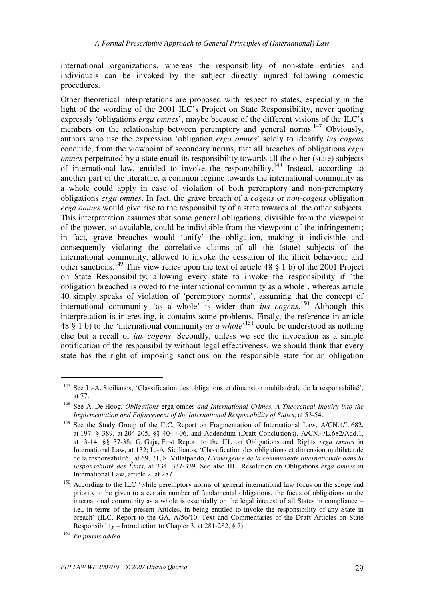international organizations, whereas the responsibility of non-state entities and individuals can be invoked by the subject directly injured following domestic procedures.

Other theoretical interpretations are proposed with respect to states, especially in the light of the wording of the 2001 ILC's Project on State Responsibility, never quoting expressly 'obligations *erga omnes*', maybe because of the different visions of the ILC's members on the relationship between peremptory and general norms.<sup>147</sup> Obviously, authors who use the expression 'obligation *erga omnes*' solely to identify *ius cogens* conclude, from the viewpoint of secondary norms, that all breaches of obligations *erga omnes* perpetrated by a state entail its responsibility towards all the other (state) subjects of international law, entitled to invoke the responsibility.<sup>148</sup> Instead, according to another part of the literature, a common regime towards the international community as a whole could apply in case of violation of both peremptory and non-peremptory obligations *erga omnes*. In fact, the grave breach of a *cogens* or *non-cogens* obligation *erga omnes* would give rise to the responsibility of a state towards all the other subjects. This interpretation assumes that some general obligations, divisible from the viewpoint of the power, so available, could be indivisible from the viewpoint of the infringement; in fact, grave breaches would 'unify' the obligation, making it indivisible and consequently violating the correlative claims of all the (state) subjects of the international community, allowed to invoke the cessation of the illicit behaviour and other sanctions.<sup>149</sup> This view relies upon the text of article 48  $\S$  1 b) of the 2001 Project on State Responsibility, allowing every state to invoke the responsibility if 'the obligation breached is owed to the international community as a whole', whereas article 40 simply speaks of violation of 'peremptory norms', assuming that the concept of international community 'as a whole' is wider than *ius cogens*. <sup>150</sup> Although this interpretation is interesting, it contains some problems. Firstly, the reference in article 48  $\S$  1 b) to the 'international community *as a whole*<sup>151</sup> could be understood as nothing else but a recall of *ius cogens*. Secondly, unless we see the invocation as a simple notification of the responsibility without legal effectiveness, we should think that every state has the right of imposing sanctions on the responsible state for an obligation

<sup>&</sup>lt;sup>147</sup> See L.-A. Sicilianos, 'Classification des obligations et dimension multilatérale de la responsabilité', at 77.

<sup>148</sup> See A. De Hoog, *Obligations* erga omnes *and International Crimes. A Theoretical Inquiry into the Implementation and Enforcement of the International Responsibility of States*, at 53-54.

<sup>&</sup>lt;sup>149</sup> See the Study Group of the ILC, Report on Fragmentation of International Law, A/CN.4/L.682, at 197, § 389, at 204-205, §§ 404-406, and Addendum (Draft Conclusions), A/CN.4/L.682/Add.1, at 13-14, §§ 37-38; G. Gaja, First Report to the IIL on Obligations and Rights *erga omnes* in International Law, at 132; L.-A. Sicilianos, 'Classification des obligations et dimension multilatérale de la responsabilité', at 69, 71; S. Villalpando, *L'émergence de la communauté internationale dans la responsabilité des États*, at 334, 337-339. See also IIL, Resolution on Obligations *erga omnes* in International Law, article 2, at 287.

<sup>&</sup>lt;sup>150</sup> According to the ILC 'while peremptory norms of general international law focus on the scope and priority to be given to a certain number of fundamental obligations, the focus of obligations to the international community as a whole is essentially on the legal interest of all States in compliance – i.e., in terms of the present Articles, in being entitled to invoke the responsibility of any State in breach' (ILC, Report to the GA, A/56/10, Text and Commentaries of the Draft Articles on State Responsibility – Introduction to Chapter 3, at 281-282, § 7).

<sup>151</sup> *Emphasis added*.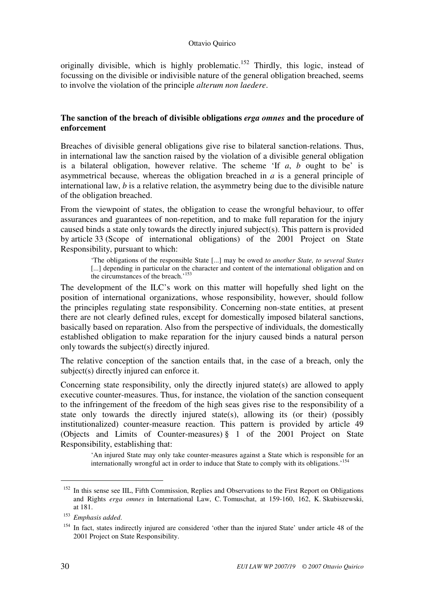originally divisible, which is highly problematic.<sup>152</sup> Thirdly, this logic, instead of focussing on the divisible or indivisible nature of the general obligation breached, seems to involve the violation of the principle *alterum non laedere*.

## **The sanction of the breach of divisible obligations** *erga omnes* **and the procedure of enforcement**

Breaches of divisible general obligations give rise to bilateral sanction-relations. Thus, in international law the sanction raised by the violation of a divisible general obligation is a bilateral obligation, however relative. The scheme 'If *a*, *b* ought to be' is asymmetrical because, whereas the obligation breached in *a* is a general principle of international law, *b* is a relative relation, the asymmetry being due to the divisible nature of the obligation breached.

From the viewpoint of states, the obligation to cease the wrongful behaviour, to offer assurances and guarantees of non-repetition, and to make full reparation for the injury caused binds a state only towards the directly injured subject(s). This pattern is provided by article 33 (Scope of international obligations) of the 2001 Project on State Responsibility, pursuant to which:

'The obligations of the responsible State [...] may be owed *to another State, to several States* [...] depending in particular on the character and content of the international obligation and on the circumstances of the breach.<sup>153</sup>

The development of the ILC's work on this matter will hopefully shed light on the position of international organizations, whose responsibility, however, should follow the principles regulating state responsibility. Concerning non-state entities, at present there are not clearly defined rules, except for domestically imposed bilateral sanctions, basically based on reparation. Also from the perspective of individuals, the domestically established obligation to make reparation for the injury caused binds a natural person only towards the subject(s) directly injured.

The relative conception of the sanction entails that, in the case of a breach, only the subject(s) directly injured can enforce it.

Concerning state responsibility, only the directly injured state(s) are allowed to apply executive counter-measures. Thus, for instance, the violation of the sanction consequent to the infringement of the freedom of the high seas gives rise to the responsibility of a state only towards the directly injured state(s), allowing its (or their) (possibly institutionalized) counter-measure reaction. This pattern is provided by article 49 (Objects and Limits of Counter-measures) § 1 of the 2001 Project on State Responsibility, establishing that:

'An injured State may only take counter-measures against a State which is responsible for an internationally wrongful act in order to induce that State to comply with its obligations.<sup>'154</sup>

<sup>&</sup>lt;sup>152</sup> In this sense see IIL, Fifth Commission, Replies and Observations to the First Report on Obligations and Rights *erga omnes* in International Law, C. Tomuschat, at 159-160, 162, K. Skubiszewski, at 181.

<sup>153</sup> *Emphasis added*.

<sup>&</sup>lt;sup>154</sup> In fact, states indirectly injured are considered 'other than the injured State' under article 48 of the 2001 Project on State Responsibility.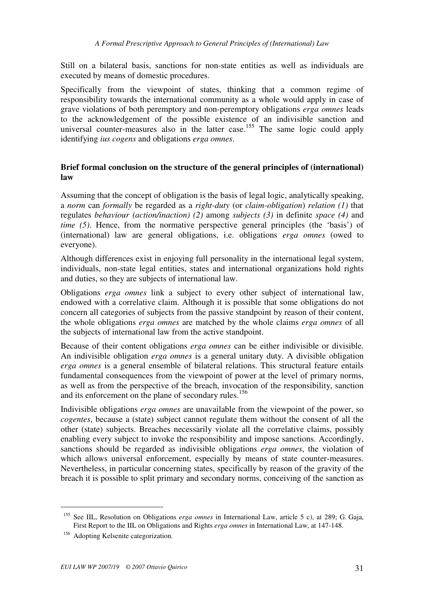Still on a bilateral basis, sanctions for non-state entities as well as individuals are executed by means of domestic procedures.

Specifically from the viewpoint of states, thinking that a common regime of responsibility towards the international community as a whole would apply in case of grave violations of both peremptory and non-peremptory obligations *erga omnes* leads to the acknowledgement of the possible existence of an indivisible sanction and universal counter-measures also in the latter case.<sup>155</sup> The same logic could apply identifying *ius cogens* and obligations *erga omnes*.

## **Brief formal conclusion on the structure of the general principles of (international) law**

Assuming that the concept of obligation is the basis of legal logic, analytically speaking, a *norm* can *formally* be regarded as a *right-duty* (or *claim-obligation*) *relation (1)* that regulates *behaviour (action/inaction) (2)* among *subjects (3)* in definite *space (4)* and *time (5)*. Hence, from the normative perspective general principles (the 'basis') of (international) law are general obligations, i.e. obligations *erga omnes* (owed to everyone).

Although differences exist in enjoying full personality in the international legal system, individuals, non-state legal entities, states and international organizations hold rights and duties, so they are subjects of international law.

Obligations *erga omnes* link a subject to every other subject of international law, endowed with a correlative claim. Although it is possible that some obligations do not concern all categories of subjects from the passive standpoint by reason of their content, the whole obligations *erga omnes* are matched by the whole claims *erga omnes* of all the subjects of international law from the active standpoint.

Because of their content obligations *erga omnes* can be either indivisible or divisible. An indivisible obligation *erga omnes* is a general unitary duty. A divisible obligation *erga omnes* is a general ensemble of bilateral relations. This structural feature entails fundamental consequences from the viewpoint of power at the level of primary norms, as well as from the perspective of the breach, invocation of the responsibility, sanction and its enforcement on the plane of secondary rules.<sup>156</sup>

Indivisible obligations *erga omnes* are unavailable from the viewpoint of the power, so *cogentes*, because a (state) subject cannot regulate them without the consent of all the other (state) subjects. Breaches necessarily violate all the correlative claims, possibly enabling every subject to invoke the responsibility and impose sanctions. Accordingly, sanctions should be regarded as indivisible obligations *erga omnes*, the violation of which allows universal enforcement, especially by means of state counter-measures. Nevertheless, in particular concerning states, specifically by reason of the gravity of the breach it is possible to split primary and secondary norms, conceiving of the sanction as

<sup>155</sup> See IIL, Resolution on Obligations *erga omnes* in International Law, article 5 c), at 289; G. Gaja, First Report to the IIL on Obligations and Rights *erga omnes* in International Law, at 147-148.

<sup>&</sup>lt;sup>156</sup> Adopting Kelsenite categorization.